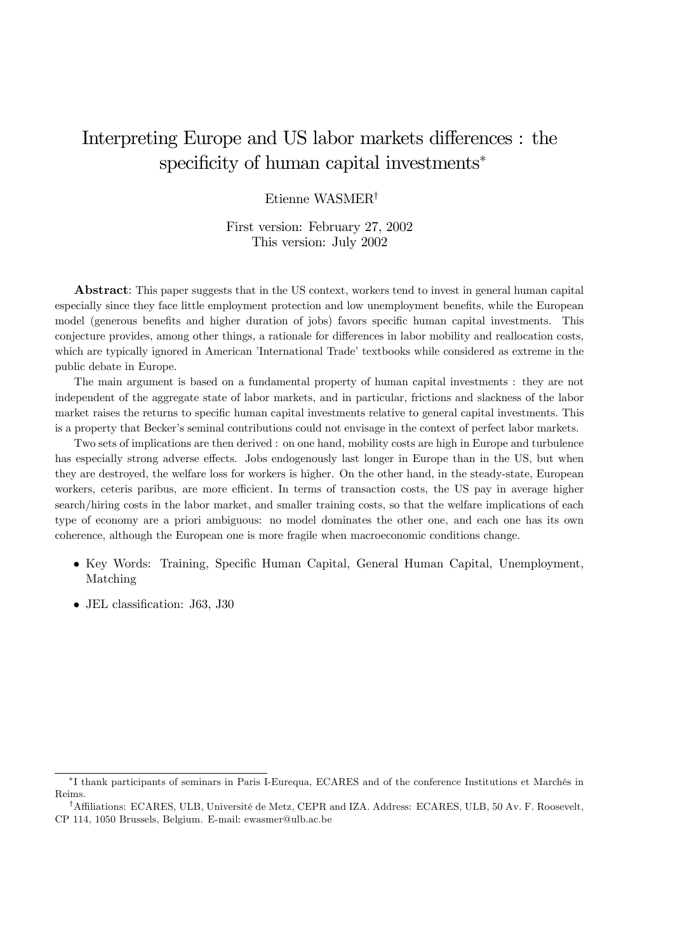# Interpreting Europe and US labor markets differences : the specificity of human capital investments<sup>\*</sup>

# Etienne WASMER†

# First version: February 27, 2002 This version: July 2002

Abstract: This paper suggests that in the US context, workers tend to invest in general human capital especially since they face little employment protection and low unemployment benefits, while the European model (generous benefits and higher duration of jobs) favors specific human capital investments. This conjecture provides, among other things, a rationale for differences in labor mobility and reallocation costs, which are typically ignored in American 'International Trade' textbooks while considered as extreme in the public debate in Europe.

The main argument is based on a fundamental property of human capital investments : they are not independent of the aggregate state of labor markets, and in particular, frictions and slackness of the labor market raises the returns to specific human capital investments relative to general capital investments. This is a property that Becker's seminal contributions could not envisage in the context of perfect labor markets.

Two sets of implications are then derived : on one hand, mobility costs are high in Europe and turbulence has especially strong adverse effects. Jobs endogenously last longer in Europe than in the US, but when they are destroyed, the welfare loss for workers is higher. On the other hand, in the steady-state, European workers, ceteris paribus, are more efficient. In terms of transaction costs, the US pay in average higher search/hiring costs in the labor market, and smaller training costs, so that the welfare implications of each type of economy are a priori ambiguous: no model dominates the other one, and each one has its own coherence, although the European one is more fragile when macroeconomic conditions change.

- Key Words: Training, Specific Human Capital, General Human Capital, Unemployment, Matching
- JEL classification: J63, J30

<sup>∗</sup>I thank participants of seminars in Paris I-Eurequa, ECARES and of the conference Institutions et Marchés in Reims.

<sup>†</sup>Affiliations: ECARES, ULB, Université de Metz, CEPR and IZA. Address: ECARES, ULB, 50 Av. F. Roosevelt, CP 114, 1050 Brussels, Belgium. E-mail: ewasmer@ulb.ac.be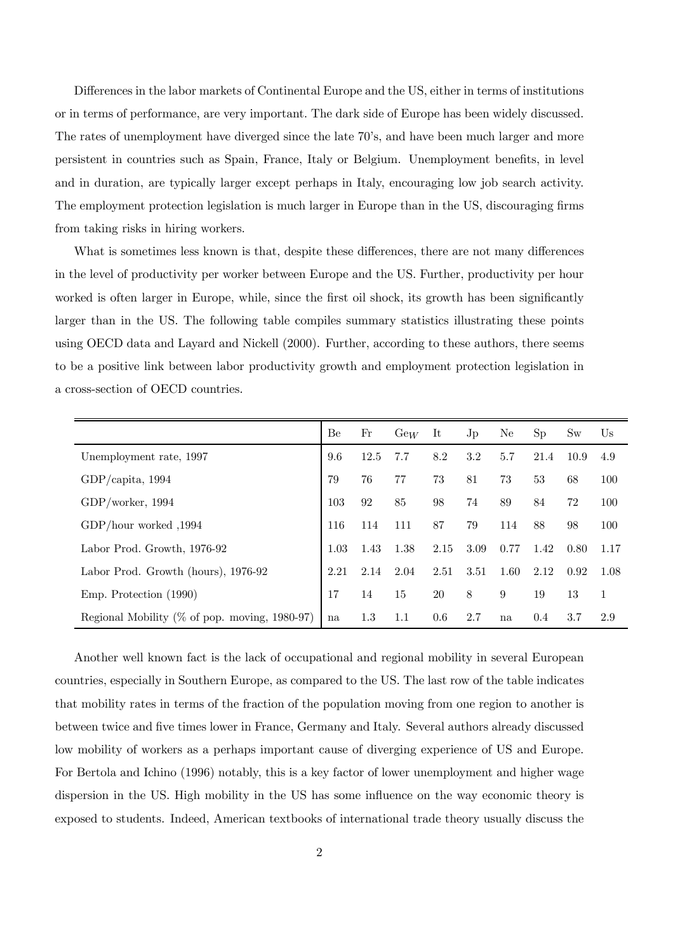Differences in the labor markets of Continental Europe and the US, either in terms of institutions or in terms of performance, are very important. The dark side of Europe has been widely discussed. The rates of unemployment have diverged since the late 70's, and have been much larger and more persistent in countries such as Spain, France, Italy or Belgium. Unemployment benefits, in level and in duration, are typically larger except perhaps in Italy, encouraging low job search activity. The employment protection legislation is much larger in Europe than in the US, discouraging firms from taking risks in hiring workers.

What is sometimes less known is that, despite these differences, there are not many differences in the level of productivity per worker between Europe and the US. Further, productivity per hour worked is often larger in Europe, while, since the first oil shock, its growth has been significantly larger than in the US. The following table compiles summary statistics illustrating these points using OECD data and Layard and Nickell (2000). Further, according to these authors, there seems to be a positive link between labor productivity growth and employment protection legislation in a cross-section of OECD countries.

|                                                   | Be   | Fr   | $\mathrm{GeV}$ | It   | Jp   | Ne   | Sp   | $\rm{Sw}$ | Us   |
|---------------------------------------------------|------|------|----------------|------|------|------|------|-----------|------|
| Unemployment rate, 1997                           | 9.6  | 12.5 | 7.7            | 8.2  | 3.2  | 5.7  | 21.4 | 10.9      | 4.9  |
| $GDP/c$ apita, 1994                               | 79   | 76   | 77             | 73   | 81   | 73   | 53   | 68        | 100  |
| GDP/worker, 1994                                  | 103  | 92   | 85             | 98   | 74   | 89   | 84   | 72        | 100  |
| GDP/hour worked $,1994$                           | 116  | 114  | 111            | 87   | 79   | 114  | 88   | 98        | 100  |
| Labor Prod. Growth, 1976-92                       | 1.03 | 1.43 | 1.38           | 2.15 | 3.09 | 0.77 | 1.42 | 0.80      | 1.17 |
| Labor Prod. Growth (hours), 1976-92               | 2.21 | 2.14 | 2.04           | 2.51 | 3.51 | 1.60 | 2.12 | 0.92      | 1.08 |
| Emp. Protection (1990)                            | 17   | 14   | 15             | 20   | 8    | 9    | 19   | 13        | 1    |
| Regional Mobility ( $\%$ of pop. moving, 1980-97) | na   | 1.3  | $1.1\,$        | 0.6  | 2.7  | na   | 0.4  | 3.7       | 2.9  |

Another well known fact is the lack of occupational and regional mobility in several European countries, especially in Southern Europe, as compared to the US. The last row of the table indicates that mobility rates in terms of the fraction of the population moving from one region to another is between twice and five times lower in France, Germany and Italy. Several authors already discussed low mobility of workers as a perhaps important cause of diverging experience of US and Europe. For Bertola and Ichino (1996) notably, this is a key factor of lower unemployment and higher wage dispersion in the US. High mobility in the US has some influence on the way economic theory is exposed to students. Indeed, American textbooks of international trade theory usually discuss the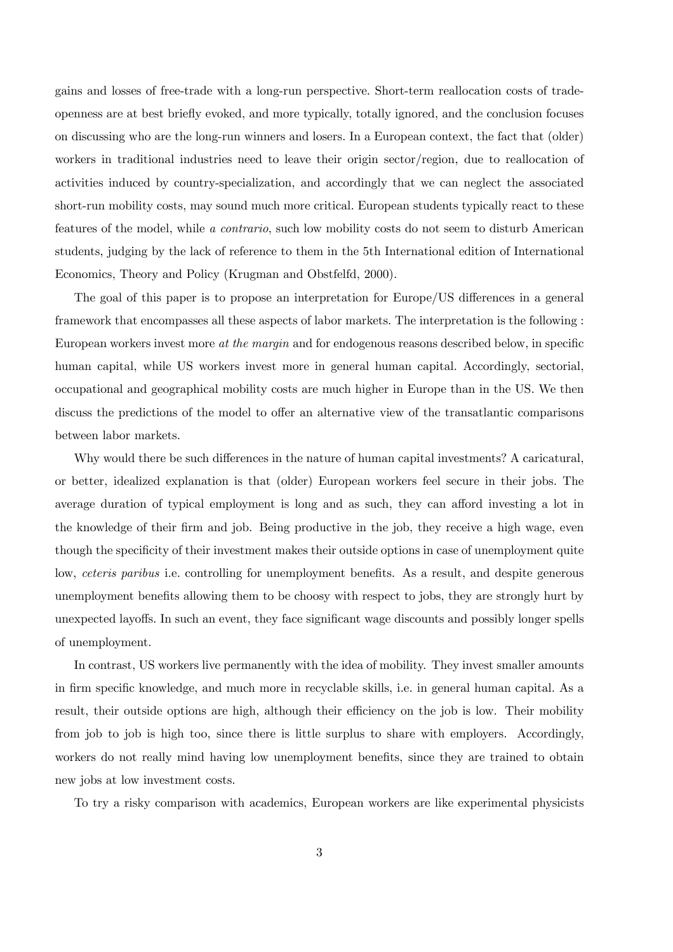gains and losses of free-trade with a long-run perspective. Short-term reallocation costs of tradeopenness are at best briefly evoked, and more typically, totally ignored, and the conclusion focuses on discussing who are the long-run winners and losers. In a European context, the fact that (older) workers in traditional industries need to leave their origin sector/region, due to reallocation of activities induced by country-specialization, and accordingly that we can neglect the associated short-run mobility costs, may sound much more critical. European students typically react to these features of the model, while a contrario, such low mobility costs do not seem to disturb American students, judging by the lack of reference to them in the 5th International edition of International Economics, Theory and Policy (Krugman and Obstfelfd, 2000).

The goal of this paper is to propose an interpretation for Europe/US differences in a general framework that encompasses all these aspects of labor markets. The interpretation is the following : European workers invest more at the margin and for endogenous reasons described below, in specific human capital, while US workers invest more in general human capital. Accordingly, sectorial, occupational and geographical mobility costs are much higher in Europe than in the US. We then discuss the predictions of the model to offer an alternative view of the transatlantic comparisons between labor markets.

Why would there be such differences in the nature of human capital investments? A caricatural, or better, idealized explanation is that (older) European workers feel secure in their jobs. The average duration of typical employment is long and as such, they can afford investing a lot in the knowledge of their firm and job. Being productive in the job, they receive a high wage, even though the specificity of their investment makes their outside options in case of unemployment quite low, ceteris paribus i.e. controlling for unemployment benefits. As a result, and despite generous unemployment benefits allowing them to be choosy with respect to jobs, they are strongly hurt by unexpected layoffs. In such an event, they face significant wage discounts and possibly longer spells of unemployment.

In contrast, US workers live permanently with the idea of mobility. They invest smaller amounts in firm specific knowledge, and much more in recyclable skills, i.e. in general human capital. As a result, their outside options are high, although their efficiency on the job is low. Their mobility from job to job is high too, since there is little surplus to share with employers. Accordingly, workers do not really mind having low unemployment benefits, since they are trained to obtain new jobs at low investment costs.

To try a risky comparison with academics, European workers are like experimental physicists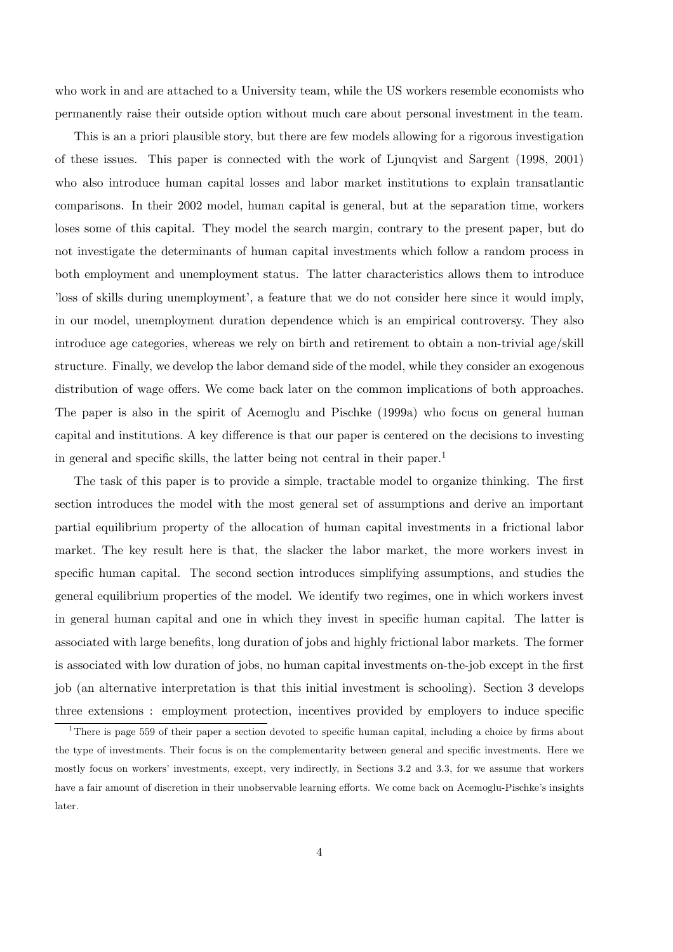who work in and are attached to a University team, while the US workers resemble economists who permanently raise their outside option without much care about personal investment in the team.

This is an a priori plausible story, but there are few models allowing for a rigorous investigation of these issues. This paper is connected with the work of Ljunqvist and Sargent (1998, 2001) who also introduce human capital losses and labor market institutions to explain transatlantic comparisons. In their 2002 model, human capital is general, but at the separation time, workers loses some of this capital. They model the search margin, contrary to the present paper, but do not investigate the determinants of human capital investments which follow a random process in both employment and unemployment status. The latter characteristics allows them to introduce 'loss of skills during unemployment', a feature that we do not consider here since it would imply, in our model, unemployment duration dependence which is an empirical controversy. They also introduce age categories, whereas we rely on birth and retirement to obtain a non-trivial age/skill structure. Finally, we develop the labor demand side of the model, while they consider an exogenous distribution of wage offers. We come back later on the common implications of both approaches. The paper is also in the spirit of Acemoglu and Pischke (1999a) who focus on general human capital and institutions. A key difference is that our paper is centered on the decisions to investing in general and specific skills, the latter being not central in their paper.<sup>1</sup>

The task of this paper is to provide a simple, tractable model to organize thinking. The first section introduces the model with the most general set of assumptions and derive an important partial equilibrium property of the allocation of human capital investments in a frictional labor market. The key result here is that, the slacker the labor market, the more workers invest in specific human capital. The second section introduces simplifying assumptions, and studies the general equilibrium properties of the model. We identify two regimes, one in which workers invest in general human capital and one in which they invest in specific human capital. The latter is associated with large benefits, long duration of jobs and highly frictional labor markets. The former is associated with low duration of jobs, no human capital investments on-the-job except in the first job (an alternative interpretation is that this initial investment is schooling). Section 3 develops three extensions : employment protection, incentives provided by employers to induce specific

<sup>&</sup>lt;sup>1</sup>There is page 559 of their paper a section devoted to specific human capital, including a choice by firms about the type of investments. Their focus is on the complementarity between general and specific investments. Here we mostly focus on workers' investments, except, very indirectly, in Sections 3.2 and 3.3, for we assume that workers have a fair amount of discretion in their unobservable learning efforts. We come back on Acemoglu-Pischke's insights later.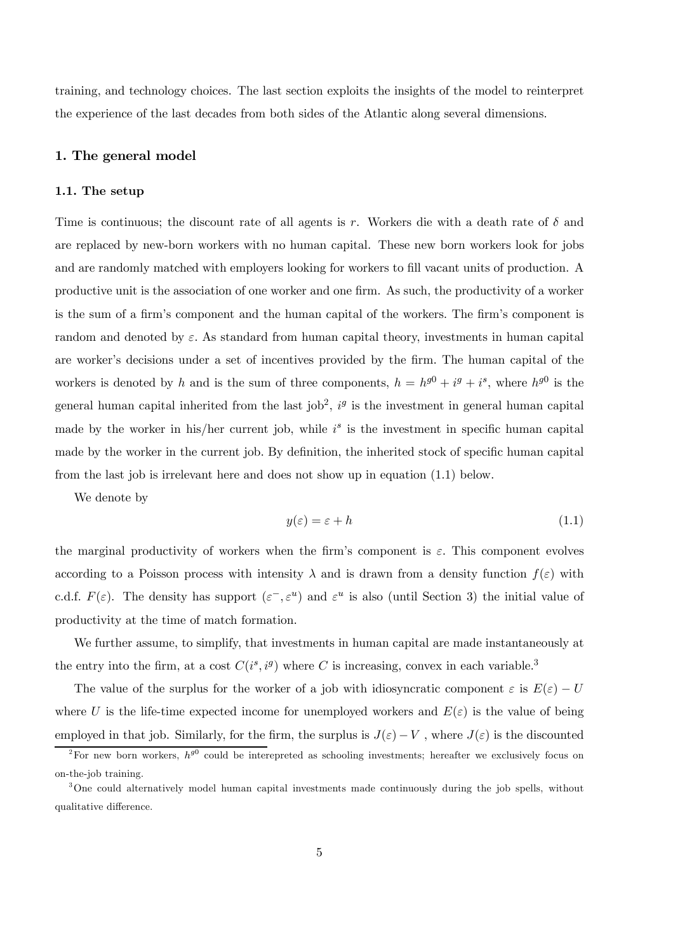training, and technology choices. The last section exploits the insights of the model to reinterpret the experience of the last decades from both sides of the Atlantic along several dimensions.

# 1. The general model

#### 1.1. The setup

Time is continuous; the discount rate of all agents is r. Workers die with a death rate of  $\delta$  and are replaced by new-born workers with no human capital. These new born workers look for jobs and are randomly matched with employers looking for workers to fill vacant units of production. A productive unit is the association of one worker and one firm. As such, the productivity of a worker is the sum of a firm's component and the human capital of the workers. The firm's component is random and denoted by  $\varepsilon$ . As standard from human capital theory, investments in human capital are worker's decisions under a set of incentives provided by the firm. The human capital of the workers is denoted by h and is the sum of three components,  $h = h^{g0} + i^g + i^s$ , where  $h^{g0}$  is the general human capital inherited from the last job<sup>2</sup>,  $i<sup>g</sup>$  is the investment in general human capital made by the worker in his/her current job, while  $i<sup>s</sup>$  is the investment in specific human capital made by the worker in the current job. By definition, the inherited stock of specific human capital from the last job is irrelevant here and does not show up in equation (1.1) below.

We denote by

$$
y(\varepsilon) = \varepsilon + h \tag{1.1}
$$

the marginal productivity of workers when the firm's component is  $\varepsilon$ . This component evolves according to a Poisson process with intensity  $\lambda$  and is drawn from a density function  $f(\varepsilon)$  with c.d.f.  $F(\varepsilon)$ . The density has support  $(\varepsilon^-,\varepsilon^u)$  and  $\varepsilon^u$  is also (until Section 3) the initial value of productivity at the time of match formation.

We further assume, to simplify, that investments in human capital are made instantaneously at the entry into the firm, at a cost  $C(i^s, i^g)$  where C is increasing, convex in each variable.<sup>3</sup>

The value of the surplus for the worker of a job with idiosyncratic component  $\varepsilon$  is  $E(\varepsilon) - U$ where U is the life-time expected income for unemployed workers and  $E(\varepsilon)$  is the value of being employed in that job. Similarly, for the firm, the surplus is  $J(\varepsilon) - V$ , where  $J(\varepsilon)$  is the discounted

<sup>&</sup>lt;sup>2</sup>For new born workers,  $h^{g0}$  could be interepreted as schooling investments; hereafter we exclusively focus on on-the-job training.

<sup>&</sup>lt;sup>3</sup>One could alternatively model human capital investments made continuously during the job spells, without qualitative difference.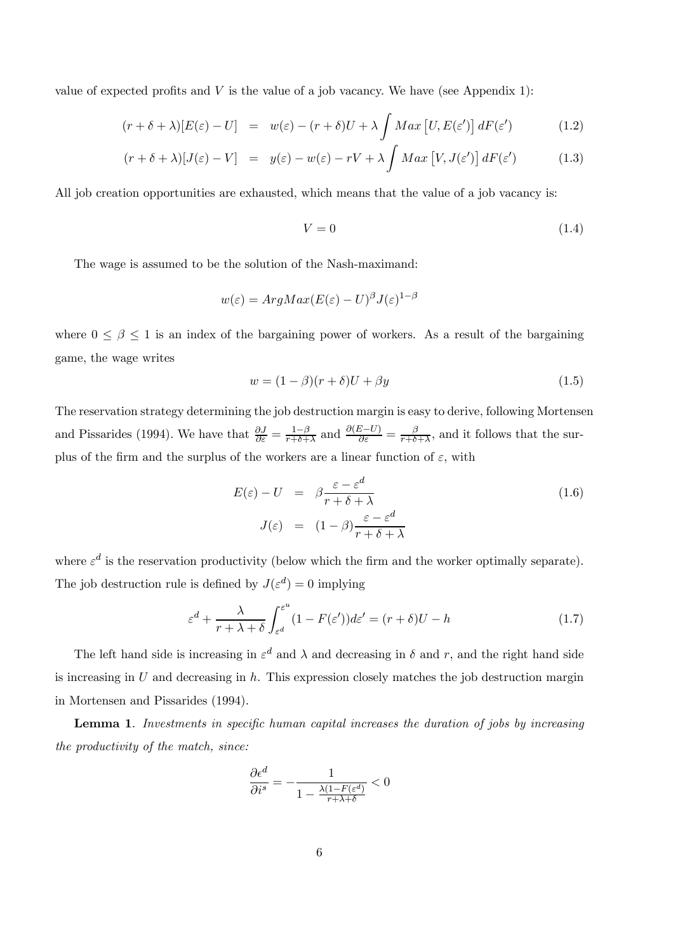value of expected profits and  $V$  is the value of a job vacancy. We have (see Appendix 1):

$$
(r + \delta + \lambda)[E(\varepsilon) - U] = w(\varepsilon) - (r + \delta)U + \lambda \int Max [U, E(\varepsilon')] dF(\varepsilon')
$$
 (1.2)

$$
(r + \delta + \lambda)[J(\varepsilon) - V] = y(\varepsilon) - w(\varepsilon) - rV + \lambda \int Max \,[V, J(\varepsilon')] \, dF(\varepsilon')
$$
 (1.3)

All job creation opportunities are exhausted, which means that the value of a job vacancy is:

$$
V = 0 \tag{1.4}
$$

The wage is assumed to be the solution of the Nash-maximand:

$$
w(\varepsilon) = ArgMax(E(\varepsilon) - U)^{\beta}J(\varepsilon)^{1-\beta}
$$

where  $0 \le \beta \le 1$  is an index of the bargaining power of workers. As a result of the bargaining game, the wage writes

$$
w = (1 - \beta)(r + \delta)U + \beta y \tag{1.5}
$$

The reservation strategy determining the job destruction margin is easy to derive, following Mortensen and Pissarides (1994). We have that  $\frac{\partial J}{\partial \varepsilon} = \frac{1-\beta}{r+\delta+\lambda}$  and  $\frac{\partial (E-U)}{\partial \varepsilon} = \frac{\beta}{r+\delta+\lambda}$ , and it follows that the surplus of the firm and the surplus of the workers are a linear function of  $\varepsilon$ , with

$$
E(\varepsilon) - U = \beta \frac{\varepsilon - \varepsilon^d}{r + \delta + \lambda}
$$
  

$$
J(\varepsilon) = (1 - \beta) \frac{\varepsilon - \varepsilon^d}{r + \delta + \lambda}
$$
 (1.6)

where  $\varepsilon^d$  is the reservation productivity (below which the firm and the worker optimally separate). The job destruction rule is defined by  $J(\varepsilon^d)=0$  implying

$$
\varepsilon^{d} + \frac{\lambda}{r + \lambda + \delta} \int_{\varepsilon^{d}}^{\varepsilon^{u}} (1 - F(\varepsilon^{'})) d\varepsilon^{'} = (r + \delta)U - h \tag{1.7}
$$

The left hand side is increasing in  $\varepsilon^d$  and  $\lambda$  and decreasing in  $\delta$  and r, and the right hand side is increasing in  $U$  and decreasing in  $h$ . This expression closely matches the job destruction margin in Mortensen and Pissarides (1994).

Lemma 1. Investments in specific human capital increases the duration of jobs by increasing the productivity of the match, since:

$$
\frac{\partial \epsilon^d}{\partial i^s} = -\frac{1}{1 - \frac{\lambda(1 - F(\epsilon^d))}{r + \lambda + \delta}} < 0
$$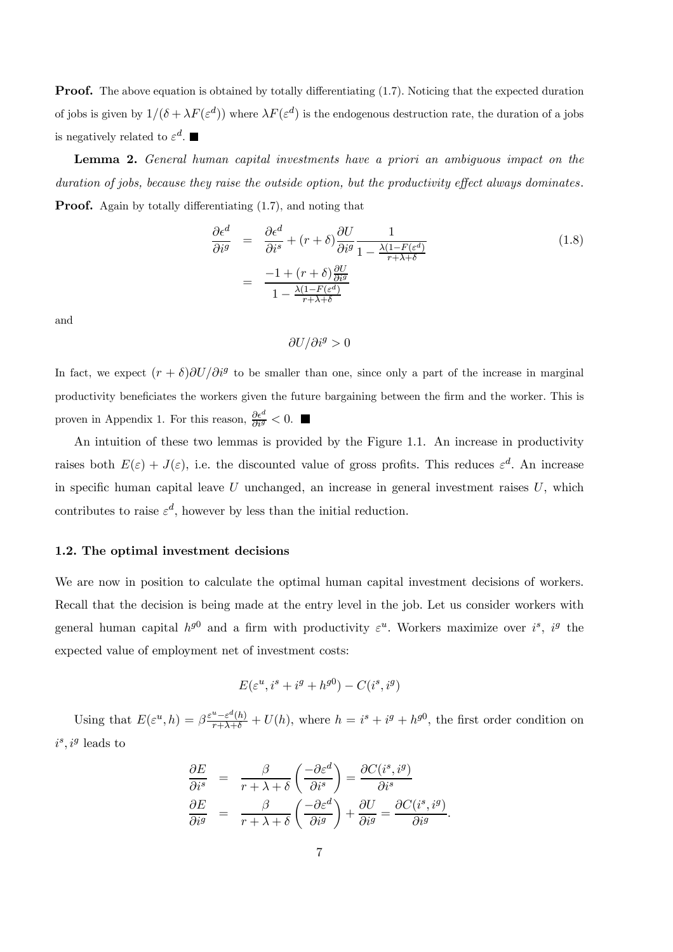**Proof.** The above equation is obtained by totally differentiating (1.7). Noticing that the expected duration of jobs is given by  $1/(\delta + \lambda F(\varepsilon^d))$  where  $\lambda F(\varepsilon^d)$  is the endogenous destruction rate, the duration of a jobs is negatively related to  $\varepsilon^d$ .

Lemma 2. General human capital investments have a priori an ambiguous impact on the duration of jobs, because they raise the outside option, but the productivity effect always dominates. **Proof.** Again by totally differentiating (1.7), and noting that

$$
\frac{\partial \epsilon^d}{\partial i^g} = \frac{\partial \epsilon^d}{\partial i^s} + (r+\delta) \frac{\partial U}{\partial i^g} \frac{1}{1 - \frac{\lambda (1 - F(\epsilon^d))}{r + \lambda + \delta}}
$$
\n
$$
= \frac{-1 + (r+\delta) \frac{\partial U}{\partial i^g}}{1 - \frac{\lambda (1 - F(\epsilon^d))}{r + \lambda + \delta}}
$$
\n(1.8)

and

$$
\partial U/\partial i^g > 0
$$

In fact, we expect  $(r + \delta)\partial U/\partial i^g$  to be smaller than one, since only a part of the increase in marginal productivity beneficiates the workers given the future bargaining between the firm and the worker. This is proven in Appendix 1. For this reason,  $\frac{\partial \epsilon^d}{\partial i^g} < 0$ .

An intuition of these two lemmas is provided by the Figure 1.1. An increase in productivity raises both  $E(\varepsilon) + J(\varepsilon)$ , i.e. the discounted value of gross profits. This reduces  $\varepsilon^d$ . An increase in specific human capital leave  $U$  unchanged, an increase in general investment raises  $U$ , which contributes to raise  $\varepsilon^d$ , however by less than the initial reduction.

#### 1.2. The optimal investment decisions

We are now in position to calculate the optimal human capital investment decisions of workers. Recall that the decision is being made at the entry level in the job. Let us consider workers with general human capital  $h^{g0}$  and a firm with productivity  $\varepsilon^u$ . Workers maximize over  $i^s$ ,  $i^g$  the expected value of employment net of investment costs:

$$
E(\varepsilon^u, i^s + i^g + h^{g0}) - C(i^s, i^g)
$$

Using that  $E(\varepsilon^u, h) = \beta \frac{\varepsilon^u - \varepsilon^d(h)}{r + \lambda + \delta} + U(h)$ , where  $h = i^s + i^g + h^{g0}$ , the first order condition on  $i^s, i^g$  leads to

$$
\frac{\partial E}{\partial i^s} = \frac{\beta}{r + \lambda + \delta} \left( \frac{-\partial \varepsilon^d}{\partial i^s} \right) = \frac{\partial C(i^s, i^g)}{\partial i^s}
$$

$$
\frac{\partial E}{\partial i^g} = \frac{\beta}{r + \lambda + \delta} \left( \frac{-\partial \varepsilon^d}{\partial i^g} \right) + \frac{\partial U}{\partial i^g} = \frac{\partial C(i^s, i^g)}{\partial i^g}.
$$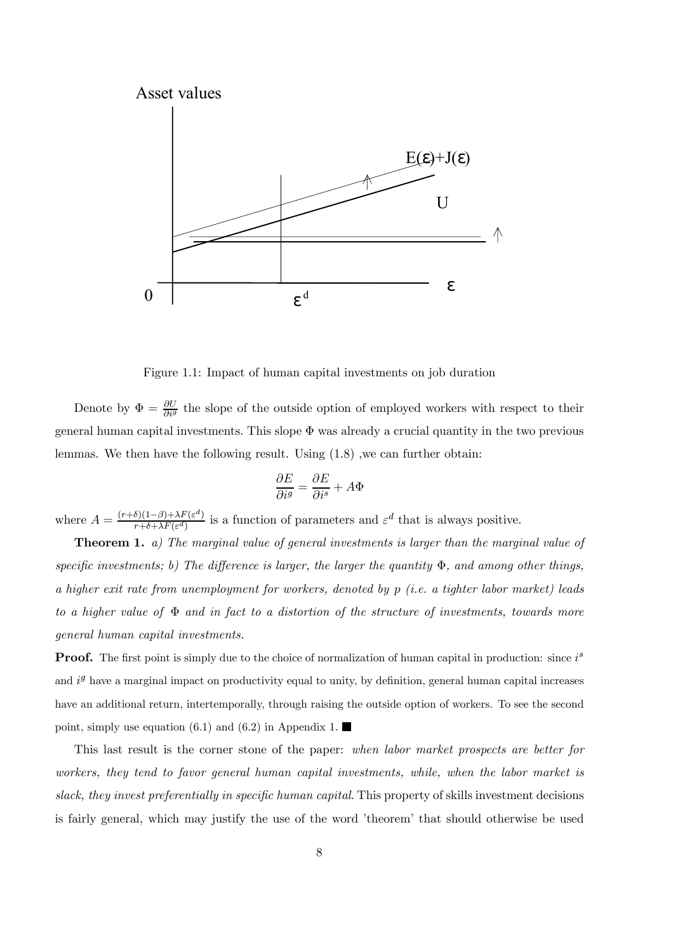

Figure 1.1: Impact of human capital investments on job duration

Denote by  $\Phi = \frac{\partial U}{\partial i^g}$  the slope of the outside option of employed workers with respect to their general human capital investments. This slope  $\Phi$  was already a crucial quantity in the two previous lemmas. We then have the following result. Using (1.8) ,we can further obtain:

$$
\frac{\partial E}{\partial i^g} = \frac{\partial E}{\partial i^s} + A\Phi
$$

where  $A = \frac{(r+\delta)(1-\beta)+\lambda F(\varepsilon^d)}{r+\delta+\lambda F(\varepsilon^d)}$  is a function of parameters and  $\varepsilon^d$  that is always positive.

**Theorem 1.** a) The marginal value of general investments is larger than the marginal value of specific investments; b) The difference is larger, the larger the quantity  $\Phi$ , and among other things, a higher exit rate from unemployment for workers, denoted by p (i.e. a tighter labor market) leads to a higher value of  $\Phi$  and in fact to a distortion of the structure of investments, towards more general human capital investments.

**Proof.** The first point is simply due to the choice of normalization of human capital in production: since  $i^s$ and  $i<sup>g</sup>$  have a marginal impact on productivity equal to unity, by definition, general human capital increases have an additional return, intertemporally, through raising the outside option of workers. To see the second point, simply use equation (6.1) and (6.2) in Appendix 1.

This last result is the corner stone of the paper: when labor market prospects are better for workers, they tend to favor general human capital investments, while, when the labor market is slack, they invest preferentially in specific human capital. This property of skills investment decisions is fairly general, which may justify the use of the word 'theorem' that should otherwise be used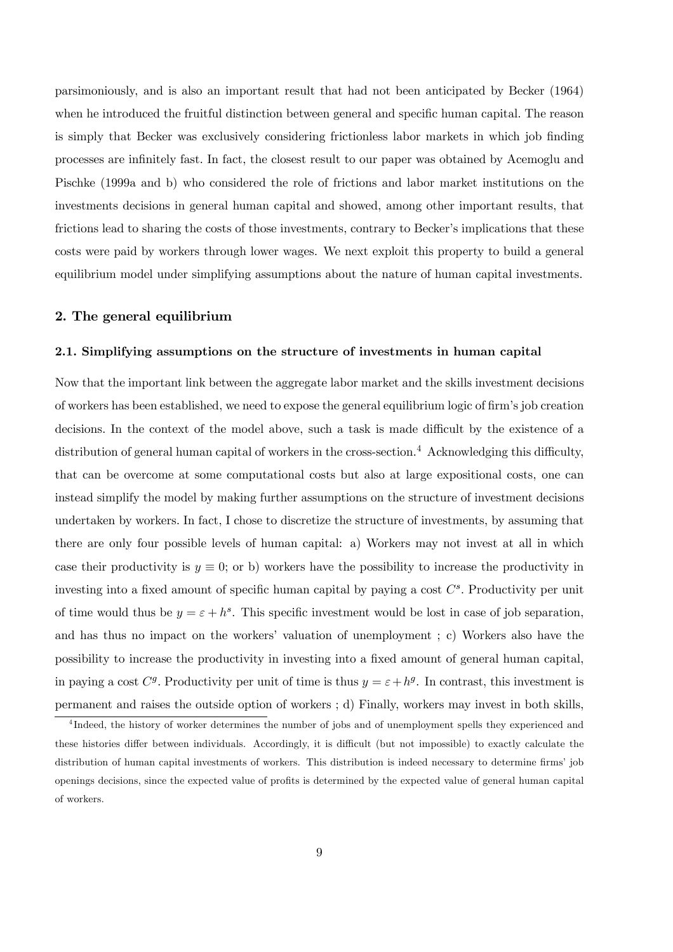parsimoniously, and is also an important result that had not been anticipated by Becker (1964) when he introduced the fruitful distinction between general and specific human capital. The reason is simply that Becker was exclusively considering frictionless labor markets in which job finding processes are infinitely fast. In fact, the closest result to our paper was obtained by Acemoglu and Pischke (1999a and b) who considered the role of frictions and labor market institutions on the investments decisions in general human capital and showed, among other important results, that frictions lead to sharing the costs of those investments, contrary to Becker's implications that these costs were paid by workers through lower wages. We next exploit this property to build a general equilibrium model under simplifying assumptions about the nature of human capital investments.

# 2. The general equilibrium

#### 2.1. Simplifying assumptions on the structure of investments in human capital

Now that the important link between the aggregate labor market and the skills investment decisions of workers has been established, we need to expose the general equilibrium logic of firm's job creation decisions. In the context of the model above, such a task is made difficult by the existence of a distribution of general human capital of workers in the cross-section.<sup>4</sup> Acknowledging this difficulty, that can be overcome at some computational costs but also at large expositional costs, one can instead simplify the model by making further assumptions on the structure of investment decisions undertaken by workers. In fact, I chose to discretize the structure of investments, by assuming that there are only four possible levels of human capital: a) Workers may not invest at all in which case their productivity is  $y \equiv 0$ ; or b) workers have the possibility to increase the productivity in investing into a fixed amount of specific human capital by paying a cost  $C^s$ . Productivity per unit of time would thus be  $y = \varepsilon + h^s$ . This specific investment would be lost in case of job separation, and has thus no impact on the workers' valuation of unemployment ; c) Workers also have the possibility to increase the productivity in investing into a fixed amount of general human capital, in paying a cost  $C^g$ . Productivity per unit of time is thus  $y = \varepsilon + h^g$ . In contrast, this investment is permanent and raises the outside option of workers ; d) Finally, workers may invest in both skills,

<sup>&</sup>lt;sup>4</sup>Indeed, the history of worker determines the number of jobs and of unemployment spells they experienced and these histories differ between individuals. Accordingly, it is difficult (but not impossible) to exactly calculate the distribution of human capital investments of workers. This distribution is indeed necessary to determine firms' job openings decisions, since the expected value of profits is determined by the expected value of general human capital of workers.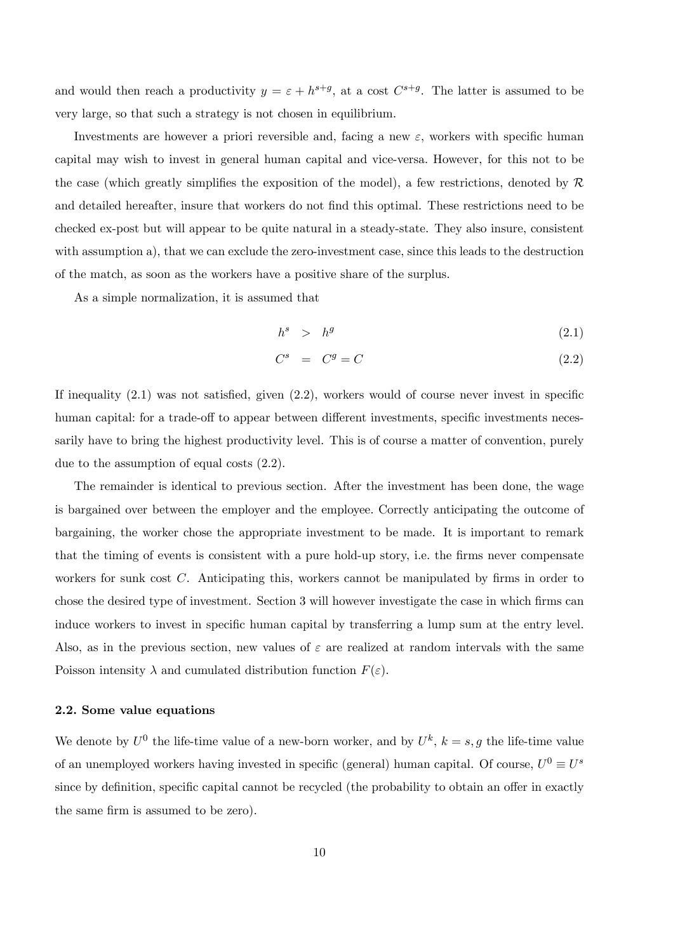and would then reach a productivity  $y = \varepsilon + h^{s+g}$ , at a cost  $C^{s+g}$ . The latter is assumed to be very large, so that such a strategy is not chosen in equilibrium.

Investments are however a priori reversible and, facing a new  $\varepsilon$ , workers with specific human capital may wish to invest in general human capital and vice-versa. However, for this not to be the case (which greatly simplifies the exposition of the model), a few restrictions, denoted by  $\mathcal{R}$ and detailed hereafter, insure that workers do not find this optimal. These restrictions need to be checked ex-post but will appear to be quite natural in a steady-state. They also insure, consistent with assumption a), that we can exclude the zero-investment case, since this leads to the destruction of the match, as soon as the workers have a positive share of the surplus.

As a simple normalization, it is assumed that

$$
h^s \quad > \quad h^g \tag{2.1}
$$

$$
C^s = C^g = C \tag{2.2}
$$

If inequality (2.1) was not satisfied, given (2.2), workers would of course never invest in specific human capital: for a trade-off to appear between different investments, specific investments necessarily have to bring the highest productivity level. This is of course a matter of convention, purely due to the assumption of equal costs (2.2).

The remainder is identical to previous section. After the investment has been done, the wage is bargained over between the employer and the employee. Correctly anticipating the outcome of bargaining, the worker chose the appropriate investment to be made. It is important to remark that the timing of events is consistent with a pure hold-up story, i.e. the firms never compensate workers for sunk cost  $C$ . Anticipating this, workers cannot be manipulated by firms in order to chose the desired type of investment. Section 3 will however investigate the case in which firms can induce workers to invest in specific human capital by transferring a lump sum at the entry level. Also, as in the previous section, new values of  $\varepsilon$  are realized at random intervals with the same Poisson intensity  $\lambda$  and cumulated distribution function  $F(\varepsilon)$ .

# 2.2. Some value equations

We denote by  $U^0$  the life-time value of a new-born worker, and by  $U^k$ ,  $k = s, g$  the life-time value of an unemployed workers having invested in specific (general) human capital. Of course,  $U^0 \equiv U^s$ since by definition, specific capital cannot be recycled (the probability to obtain an offer in exactly the same firm is assumed to be zero).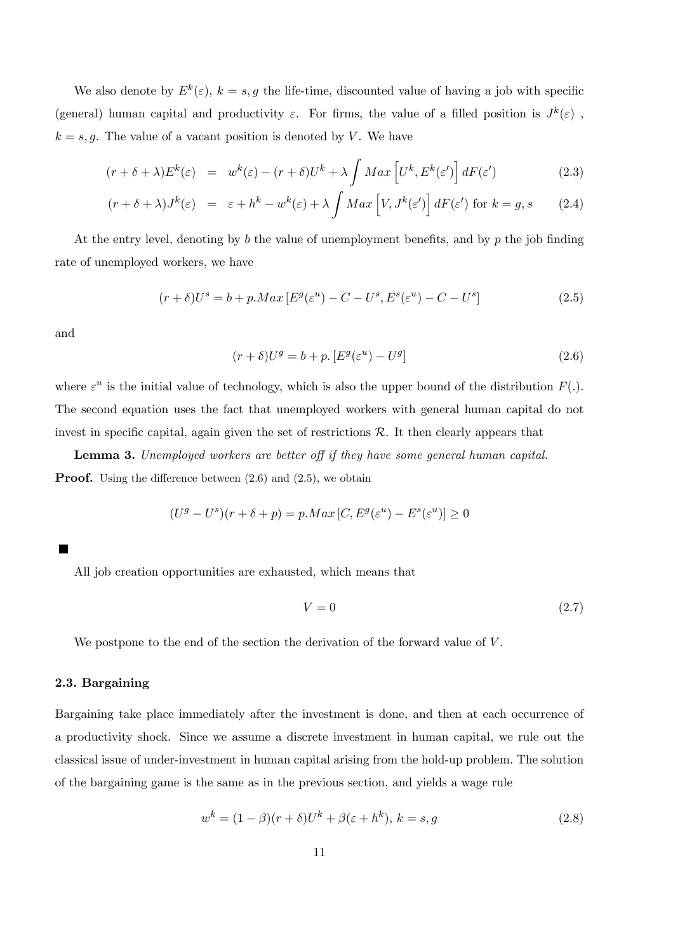We also denote by  $E^k(\varepsilon)$ ,  $k = s, g$  the life-time, discounted value of having a job with specific (general) human capital and productivity  $\varepsilon$ . For firms, the value of a filled position is  $J^k(\varepsilon)$ ,  $k = s, g$ . The value of a vacant position is denoted by V. We have

$$
(r + \delta + \lambda)E^{k}(\varepsilon) = w^{k}(\varepsilon) - (r + \delta)U^{k} + \lambda \int Max \left[U^{k}, E^{k}(\varepsilon')\right] dF(\varepsilon')
$$
 (2.3)

$$
(r + \delta + \lambda)J^k(\varepsilon) = \varepsilon + h^k - w^k(\varepsilon) + \lambda \int Max \left[ V, J^k(\varepsilon') \right] dF(\varepsilon') \text{ for } k = g, s \qquad (2.4)
$$

At the entry level, denoting by  $b$  the value of unemployment benefits, and by  $p$  the job finding rate of unemployed workers, we have

$$
(r+\delta)U^s = b + p \cdot Max \left[E^g(\varepsilon^u) - C - U^s, E^s(\varepsilon^u) - C - U^s\right]
$$
\n
$$
(2.5)
$$

and

$$
(r+\delta)U^g = b + p \cdot [E^g(\varepsilon^u) - U^g]
$$
\n(2.6)

where  $\varepsilon^u$  is the initial value of technology, which is also the upper bound of the distribution  $F(.)$ . The second equation uses the fact that unemployed workers with general human capital do not invest in specific capital, again given the set of restrictions  $R$ . It then clearly appears that

Lemma 3. Unemployed workers are better off if they have some general human capital. **Proof.** Using the difference between  $(2.6)$  and  $(2.5)$ , we obtain

$$
(Ug – Us)(r + \delta + p) = p.Max [C, Eg(\varepsilonu) – Es(\varepsilonu)] \ge 0
$$

All job creation opportunities are exhausted, which means that

$$
V = 0 \tag{2.7}
$$

We postpone to the end of the section the derivation of the forward value of  $V$ .

#### 2.3. Bargaining

Bargaining take place immediately after the investment is done, and then at each occurrence of a productivity shock. Since we assume a discrete investment in human capital, we rule out the classical issue of under-investment in human capital arising from the hold-up problem. The solution of the bargaining game is the same as in the previous section, and yields a wage rule

$$
w^{k} = (1 - \beta)(r + \delta)U^{k} + \beta(\varepsilon + h^{k}), k = s, g \qquad (2.8)
$$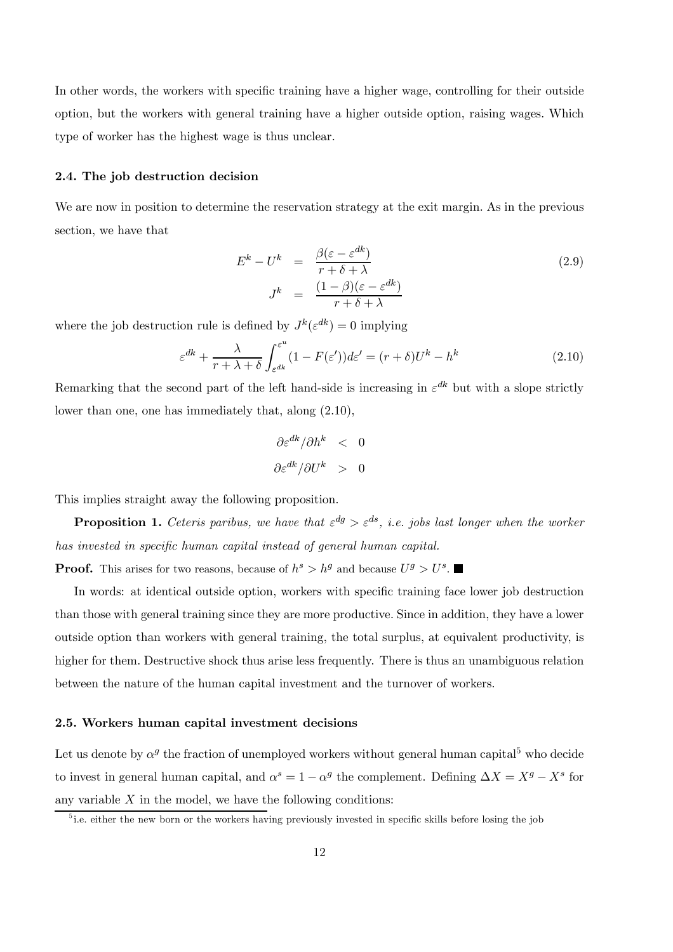In other words, the workers with specific training have a higher wage, controlling for their outside option, but the workers with general training have a higher outside option, raising wages. Which type of worker has the highest wage is thus unclear.

#### 2.4. The job destruction decision

We are now in position to determine the reservation strategy at the exit margin. As in the previous section, we have that

$$
E^{k} - U^{k} = \frac{\beta(\varepsilon - \varepsilon^{dk})}{r + \delta + \lambda}
$$
  

$$
J^{k} = \frac{(1 - \beta)(\varepsilon - \varepsilon^{dk})}{r + \delta + \lambda}
$$
 (2.9)

where the job destruction rule is defined by  $J^k(\varepsilon^{dk})=0$  implying

$$
\varepsilon^{dk} + \frac{\lambda}{r + \lambda + \delta} \int_{\varepsilon^{dk}}^{\varepsilon^u} (1 - F(\varepsilon')) d\varepsilon' = (r + \delta) U^k - h^k \tag{2.10}
$$

Remarking that the second part of the left hand-side is increasing in  $\varepsilon^{dk}$  but with a slope strictly lower than one, one has immediately that, along (2.10),

$$
\frac{\partial \varepsilon^{dk}/\partial h^k}{\partial \varepsilon^{dk}/\partial U^k} > 0
$$

This implies straight away the following proposition.

**Proposition 1.** Ceteris paribus, we have that  $\varepsilon^{dg} > \varepsilon^{ds}$ , i.e. jobs last longer when the worker has invested in specific human capital instead of general human capital.

**Proof.** This arises for two reasons, because of  $h^s > h^g$  and because  $U^g > U^s$ .

In words: at identical outside option, workers with specific training face lower job destruction than those with general training since they are more productive. Since in addition, they have a lower outside option than workers with general training, the total surplus, at equivalent productivity, is higher for them. Destructive shock thus arise less frequently. There is thus an unambiguous relation between the nature of the human capital investment and the turnover of workers.

## 2.5. Workers human capital investment decisions

Let us denote by  $\alpha^g$  the fraction of unemployed workers without general human capital<sup>5</sup> who decide to invest in general human capital, and  $\alpha^s = 1 - \alpha^g$  the complement. Defining  $\Delta X = X^g - X^s$  for any variable  $X$  in the model, we have the following conditions:

<sup>&</sup>lt;sup>5</sup> i.e. either the new born or the workers having previously invested in specific skills before losing the job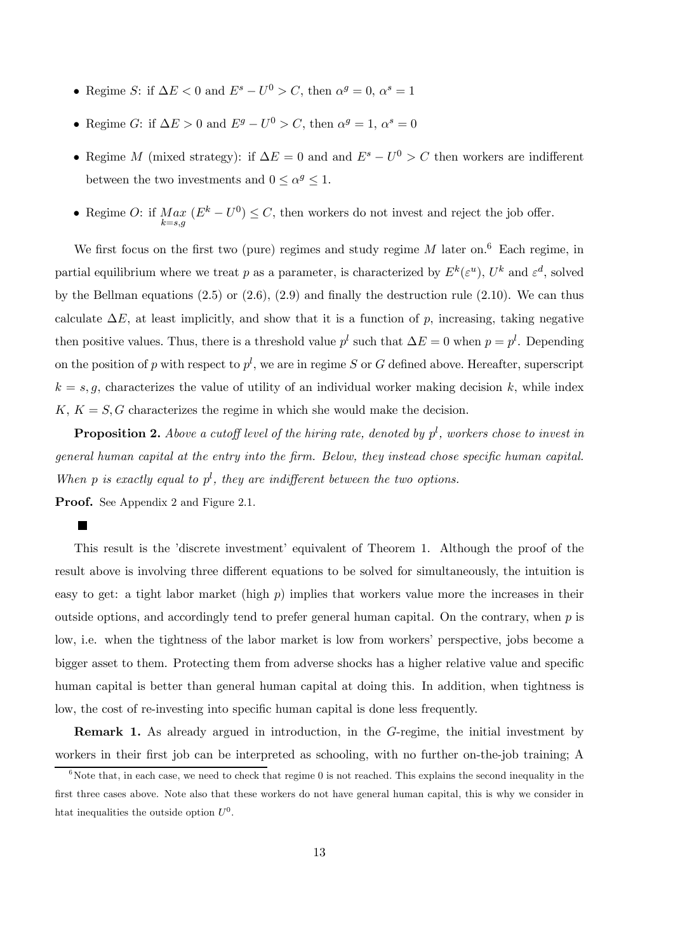- Regime S: if  $\Delta E < 0$  and  $E^s U^0 > C$ , then  $\alpha^g = 0$ ,  $\alpha^s = 1$
- Regime G: if  $\Delta E > 0$  and  $E^g U^0 > C$ , then  $\alpha^g = 1$ ,  $\alpha^s = 0$
- Regime M (mixed strategy): if  $\Delta E = 0$  and and  $E^s U^0 > C$  then workers are indifferent between the two investments and  $0 \leq \alpha^g \leq 1$ .
- Regime O: if  $Max_{k=s,g}$   $(E^k U^0) \leq C$ , then workers do not invest and reject the job offer.

We first focus on the first two (pure) regimes and study regime  $M$  later on.<sup>6</sup> Each regime, in partial equilibrium where we treat p as a parameter, is characterized by  $E^k(\varepsilon^u)$ ,  $U^k$  and  $\varepsilon^d$ , solved by the Bellman equations (2.5) or (2.6), (2.9) and finally the destruction rule (2.10). We can thus calculate  $\Delta E$ , at least implicitly, and show that it is a function of p, increasing, taking negative then positive values. Thus, there is a threshold value  $p^l$  such that  $\Delta E = 0$  when  $p = p^l$ . Depending on the position of p with respect to  $p^{l}$ , we are in regime S or G defined above. Hereafter, superscript  $k = s, g$ , characterizes the value of utility of an individual worker making decision k, while index  $K, K = S, G$  characterizes the regime in which she would make the decision.

**Proposition 2.** Above a cutoff level of the hiring rate, denoted by  $p^l$ , workers chose to invest in general human capital at the entry into the firm. Below, they instead chose specific human capital. When p is exactly equal to  $p^l$ , they are indifferent between the two options.

Proof. See Appendix 2 and Figure 2.1.

 $\blacksquare$ 

This result is the 'discrete investment' equivalent of Theorem 1. Although the proof of the result above is involving three different equations to be solved for simultaneously, the intuition is easy to get: a tight labor market (high  $p$ ) implies that workers value more the increases in their outside options, and accordingly tend to prefer general human capital. On the contrary, when  $p$  is low, i.e. when the tightness of the labor market is low from workers' perspective, jobs become a bigger asset to them. Protecting them from adverse shocks has a higher relative value and specific human capital is better than general human capital at doing this. In addition, when tightness is low, the cost of re-investing into specific human capital is done less frequently.

Remark 1. As already argued in introduction, in the G-regime, the initial investment by workers in their first job can be interpreted as schooling, with no further on-the-job training; A

 $6N$ ote that, in each case, we need to check that regime 0 is not reached. This explains the second inequality in the first three cases above. Note also that these workers do not have general human capital, this is why we consider in htat inequalities the outside option  $U^0$ .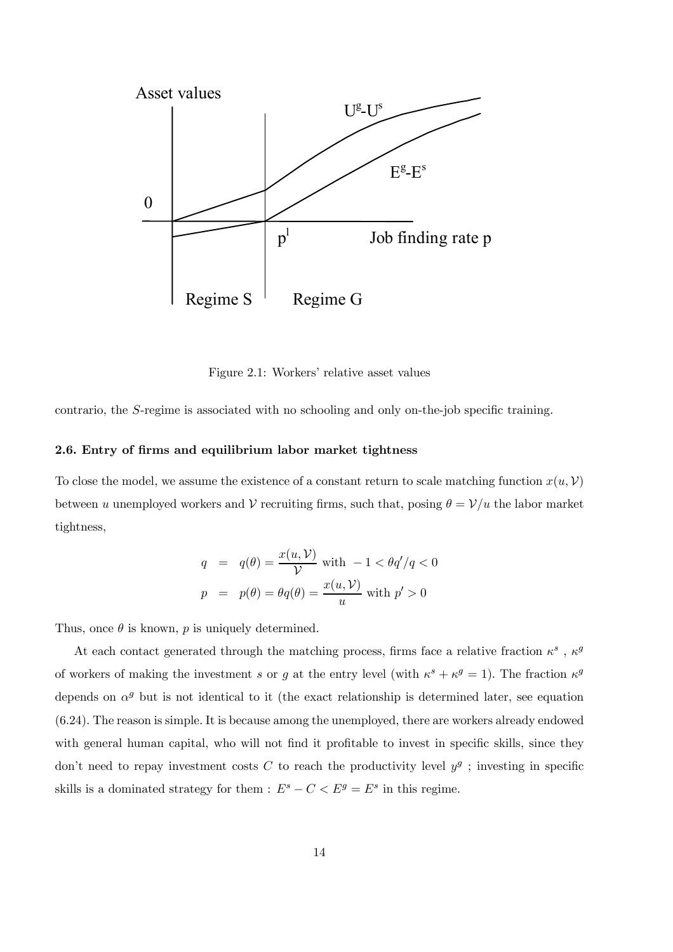

Figure 2.1: Workers' relative asset values

contrario, the S-regime is associated with no schooling and only on-the-job specific training.

## 2.6. Entry of firms and equilibrium labor market tightness

To close the model, we assume the existence of a constant return to scale matching function  $x(u, V)$ between u unemployed workers and V recruiting firms, such that, posing  $\theta = \mathcal{V}/u$  the labor market tightness,

$$
q = q(\theta) = \frac{x(u, V)}{V} \text{ with } -1 < \theta q'/q < 0
$$

$$
p = p(\theta) = \theta q(\theta) = \frac{x(u, V)}{u} \text{ with } p' > 0
$$

Thus, once  $\theta$  is known, p is uniquely determined.

At each contact generated through the matching process, firms face a relative fraction  $\kappa^s$ ,  $\kappa^g$ of workers of making the investment s or g at the entry level (with  $\kappa^s + \kappa^g = 1$ ). The fraction  $\kappa^g$ depends on  $\alpha^g$  but is not identical to it (the exact relationship is determined later, see equation (6.24). The reason is simple. It is because among the unemployed, there are workers already endowed with general human capital, who will not find it profitable to invest in specific skills, since they don't need to repay investment costs C to reach the productivity level  $y<sup>g</sup>$ ; investing in specific skills is a dominated strategy for them :  $E^s - C < E^g = E^s$  in this regime.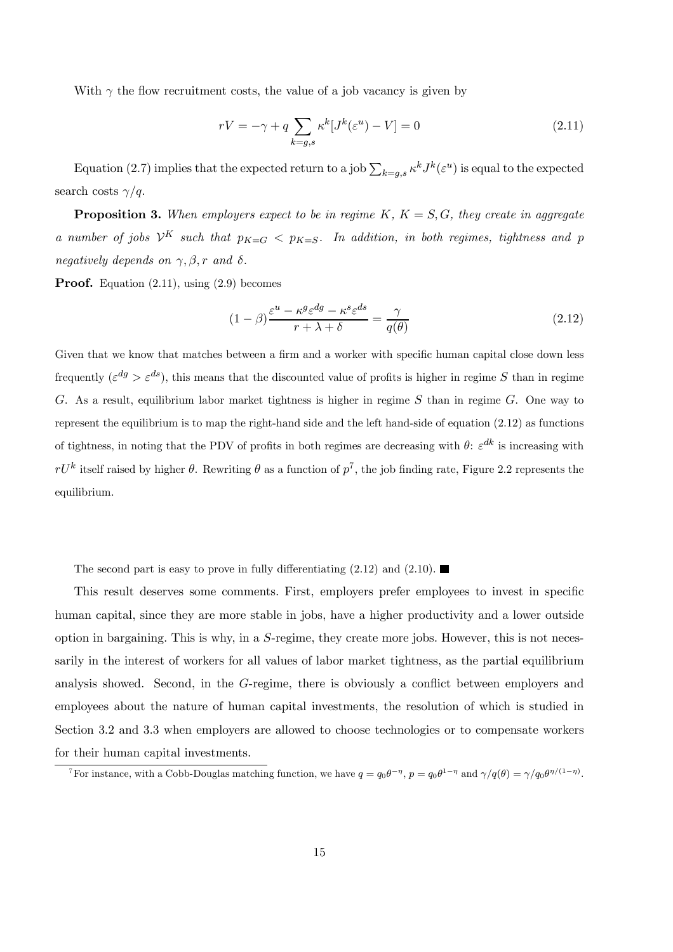With  $\gamma$  the flow recruitment costs, the value of a job vacancy is given by

$$
rV = -\gamma + q \sum_{k=g,s} \kappa^k [J^k(\varepsilon^u) - V] = 0 \tag{2.11}
$$

Equation (2.7) implies that the expected return to a job  $\sum_{k=g,s} \kappa^k J^k(\varepsilon^u)$  is equal to the expected search costs  $\gamma/q$ .

**Proposition 3.** When employers expect to be in regime  $K$ ,  $K = S$ ,  $G$ , they create in aggregate a number of jobs  $\mathcal{V}^K$  such that  $p_{K=G}$  <  $p_{K=S}$ . In addition, in both regimes, tightness and p negatively depends on  $\gamma$ ,  $\beta$ , r and  $\delta$ .

Proof. Equation (2.11), using (2.9) becomes

$$
(1 - \beta) \frac{\varepsilon^u - \kappa^g \varepsilon^{dg} - \kappa^s \varepsilon^{ds}}{r + \lambda + \delta} = \frac{\gamma}{q(\theta)}
$$
\n(2.12)

Given that we know that matches between a firm and a worker with specific human capital close down less frequently  $({\varepsilon}^{dg} > {\varepsilon}^{ds})$ , this means that the discounted value of profits is higher in regime S than in regime G. As a result, equilibrium labor market tightness is higher in regime  $S$  than in regime  $G$ . One way to represent the equilibrium is to map the right-hand side and the left hand-side of equation (2.12) as functions of tightness, in noting that the PDV of profits in both regimes are decreasing with  $\theta$ :  $\varepsilon^{dk}$  is increasing with  $rU^k$  itself raised by higher  $\theta$ . Rewriting  $\theta$  as a function of  $p^7$ , the job finding rate, Figure 2.2 represents the equilibrium.

The second part is easy to prove in fully differentiating  $(2.12)$  and  $(2.10)$ .

This result deserves some comments. First, employers prefer employees to invest in specific human capital, since they are more stable in jobs, have a higher productivity and a lower outside option in bargaining. This is why, in a S-regime, they create more jobs. However, this is not necessarily in the interest of workers for all values of labor market tightness, as the partial equilibrium analysis showed. Second, in the G-regime, there is obviously a conflict between employers and employees about the nature of human capital investments, the resolution of which is studied in Section 3.2 and 3.3 when employers are allowed to choose technologies or to compensate workers for their human capital investments.

<sup>&</sup>lt;sup>7</sup>For instance, with a Cobb-Douglas matching function, we have  $q = q_0 \theta^{-\eta}$ ,  $p = q_0 \theta^{1-\eta}$  and  $\gamma/q(\theta) = \gamma/q_0 \theta^{\eta/(1-\eta)}$ .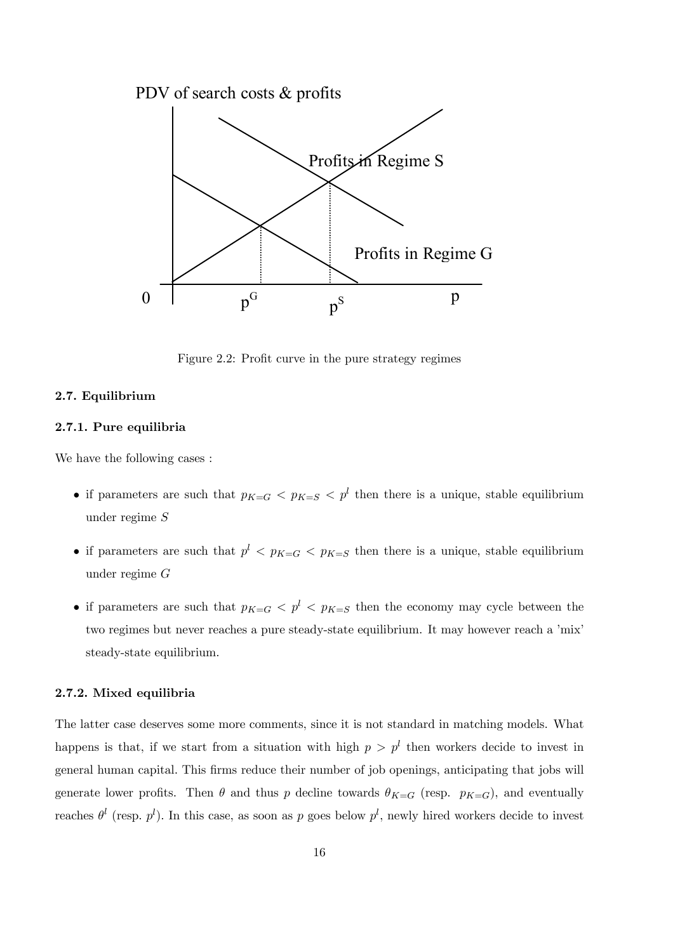

Figure 2.2: Profit curve in the pure strategy regimes

# 2.7. Equilibrium

# 2.7.1. Pure equilibria

We have the following cases :

- if parameters are such that  $p_{K=G} < p_{K=S} < p^l$  then there is a unique, stable equilibrium under regime S
- if parameters are such that  $p<sup>l</sup> < p<sub>K=G</sub>$  then there is a unique, stable equilibrium under regime G
- if parameters are such that  $p_{K=G} < p^l < p_{K=S}$  then the economy may cycle between the two regimes but never reaches a pure steady-state equilibrium. It may however reach a 'mix' steady-state equilibrium.

# 2.7.2. Mixed equilibria

The latter case deserves some more comments, since it is not standard in matching models. What happens is that, if we start from a situation with high  $p>p^l$  then workers decide to invest in general human capital. This firms reduce their number of job openings, anticipating that jobs will generate lower profits. Then  $\theta$  and thus p decline towards  $\theta_{K=G}$  (resp.  $p_{K=G}$ ), and eventually reaches  $\theta^l$  (resp.  $p^l$ ). In this case, as soon as p goes below  $p^l$ , newly hired workers decide to invest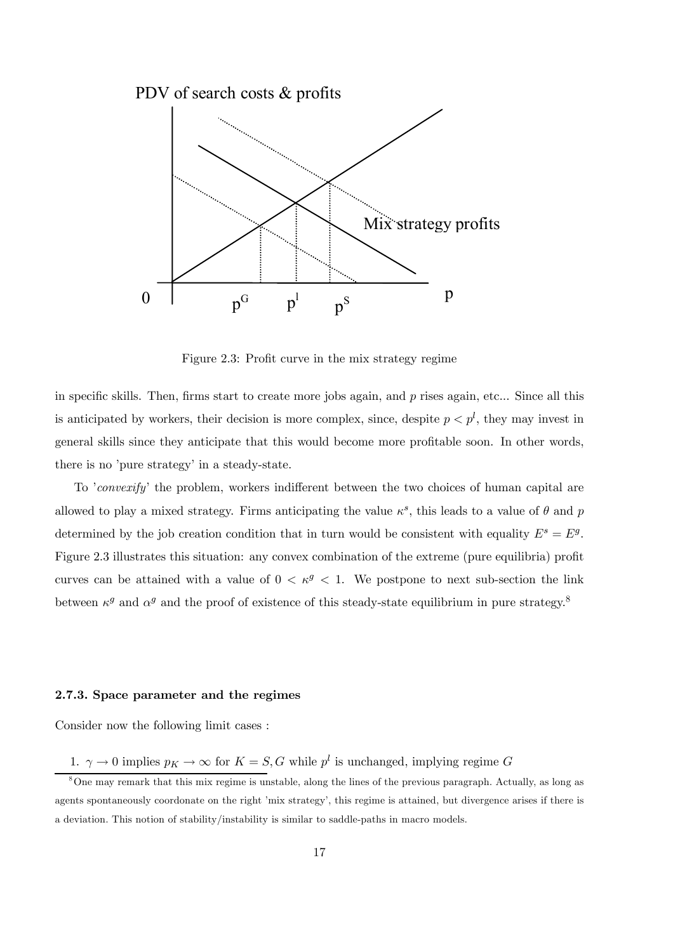

Figure 2.3: Profit curve in the mix strategy regime

in specific skills. Then, firms start to create more jobs again, and  $p$  rises again, etc... Since all this is anticipated by workers, their decision is more complex, since, despite  $p < p<sup>l</sup>$ , they may invest in general skills since they anticipate that this would become more profitable soon. In other words, there is no 'pure strategy' in a steady-state.

To 'convexify' the problem, workers indifferent between the two choices of human capital are allowed to play a mixed strategy. Firms anticipating the value  $\kappa^s$ , this leads to a value of  $\theta$  and p determined by the job creation condition that in turn would be consistent with equality  $E^s = E^g$ . Figure 2.3 illustrates this situation: any convex combination of the extreme (pure equilibria) profit curves can be attained with a value of  $0 < \kappa^g < 1$ . We postpone to next sub-section the link between  $\kappa^g$  and  $\alpha^g$  and the proof of existence of this steady-state equilibrium in pure strategy.<sup>8</sup>

#### 2.7.3. Space parameter and the regimes

Consider now the following limit cases :

1.  $\gamma \to 0$  implies  $p_K \to \infty$  for  $K = S, G$  while  $p^l$  is unchanged, implying regime  $G$ 

<sup>8</sup>One may remark that this mix regime is unstable, along the lines of the previous paragraph. Actually, as long as agents spontaneously coordonate on the right 'mix strategy', this regime is attained, but divergence arises if there is a deviation. This notion of stability/instability is similar to saddle-paths in macro models.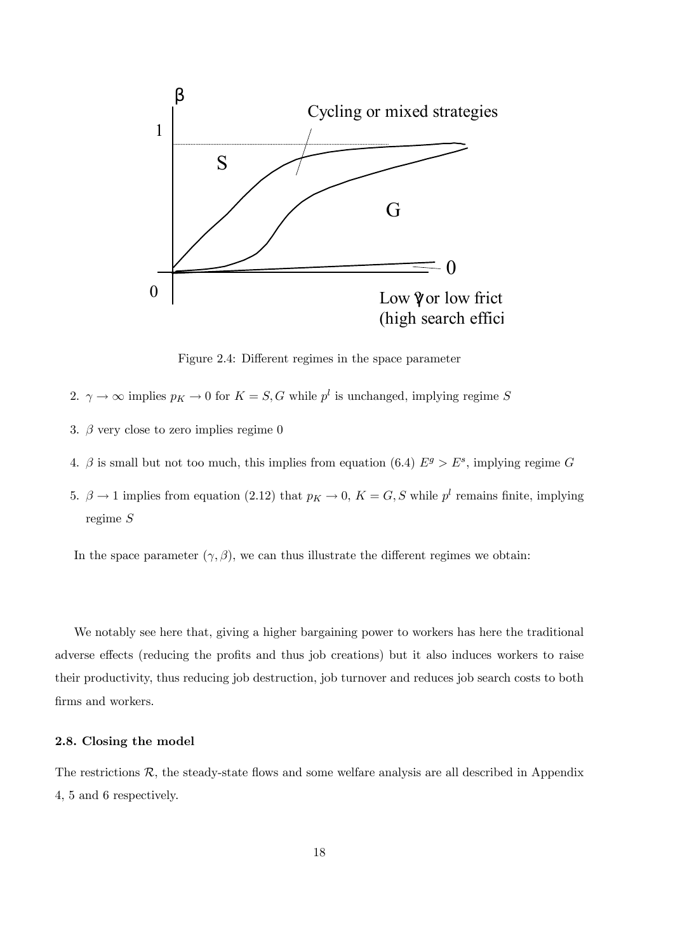

Figure 2.4: Different regimes in the space parameter

- 2.  $\gamma \to \infty$  implies  $p_K \to 0$  for  $K = S, G$  while  $p^l$  is unchanged, implying regime S
- 3.  $\beta$  very close to zero implies regime 0
- 4. β is small but not too much, this implies from equation (6.4)  $E^g > E^s$ , implying regime G
- 5.  $\beta \rightarrow 1$  implies from equation (2.12) that  $p_K \rightarrow 0$ ,  $K = G, S$  while  $p^l$  remains finite, implying regime S

In the space parameter  $(\gamma, \beta)$ , we can thus illustrate the different regimes we obtain:

We notably see here that, giving a higher bargaining power to workers has here the traditional adverse effects (reducing the profits and thus job creations) but it also induces workers to raise their productivity, thus reducing job destruction, job turnover and reduces job search costs to both firms and workers.

#### 2.8. Closing the model

The restrictions  $R$ , the steady-state flows and some welfare analysis are all described in Appendix 4, 5 and 6 respectively.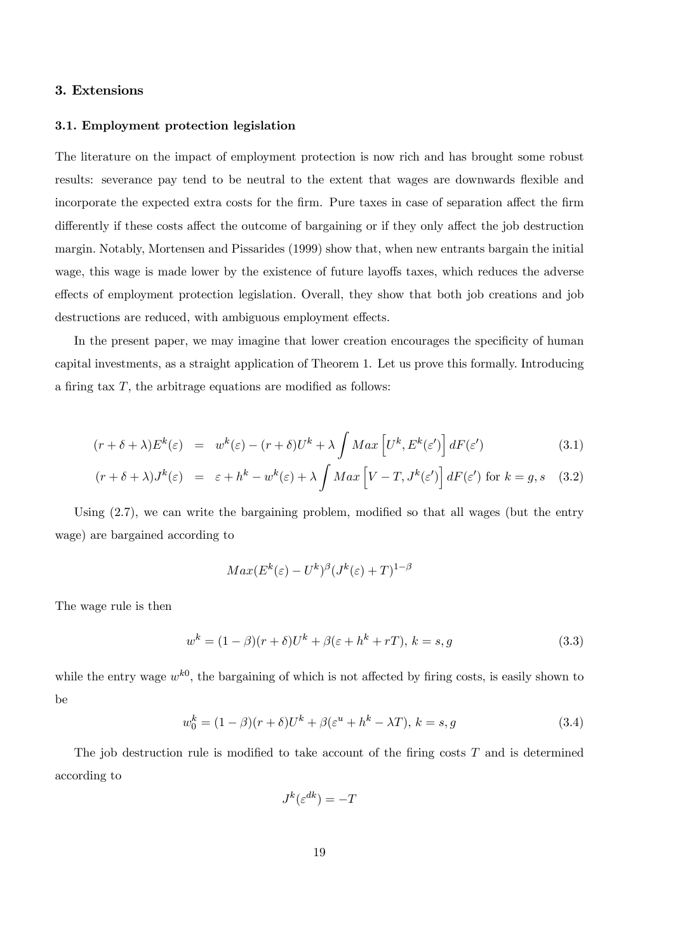# 3. Extensions

#### 3.1. Employment protection legislation

The literature on the impact of employment protection is now rich and has brought some robust results: severance pay tend to be neutral to the extent that wages are downwards flexible and incorporate the expected extra costs for the firm. Pure taxes in case of separation affect the firm differently if these costs affect the outcome of bargaining or if they only affect the job destruction margin. Notably, Mortensen and Pissarides (1999) show that, when new entrants bargain the initial wage, this wage is made lower by the existence of future layoffs taxes, which reduces the adverse effects of employment protection legislation. Overall, they show that both job creations and job destructions are reduced, with ambiguous employment effects.

In the present paper, we may imagine that lower creation encourages the specificity of human capital investments, as a straight application of Theorem 1. Let us prove this formally. Introducing a firing tax  $T$ , the arbitrage equations are modified as follows:

$$
(r + \delta + \lambda)E^{k}(\varepsilon) = w^{k}(\varepsilon) - (r + \delta)U^{k} + \lambda \int Max \left[ U^{k}, E^{k}(\varepsilon') \right] dF(\varepsilon')
$$
(3.1)

$$
(r + \delta + \lambda)J^k(\varepsilon) = \varepsilon + h^k - w^k(\varepsilon) + \lambda \int Max \left[ V - T, J^k(\varepsilon') \right] dF(\varepsilon') \text{ for } k = g, s \quad (3.2)
$$

Using (2.7), we can write the bargaining problem, modified so that all wages (but the entry wage) are bargained according to

$$
Max(E^k(\varepsilon) - U^k)^{\beta} (J^k(\varepsilon) + T)^{1-\beta}
$$

The wage rule is then

$$
w^{k} = (1 - \beta)(r + \delta)U^{k} + \beta(\varepsilon + h^{k} + rT), k = s, g \tag{3.3}
$$

while the entry wage  $w^{k0}$ , the bargaining of which is not affected by firing costs, is easily shown to be

$$
w_0^k = (1 - \beta)(r + \delta)U^k + \beta(\varepsilon^u + h^k - \lambda T), k = s, g \tag{3.4}
$$

The job destruction rule is modified to take account of the firing costs  $T$  and is determined according to

 $J^k(\varepsilon^{dk}) = -T$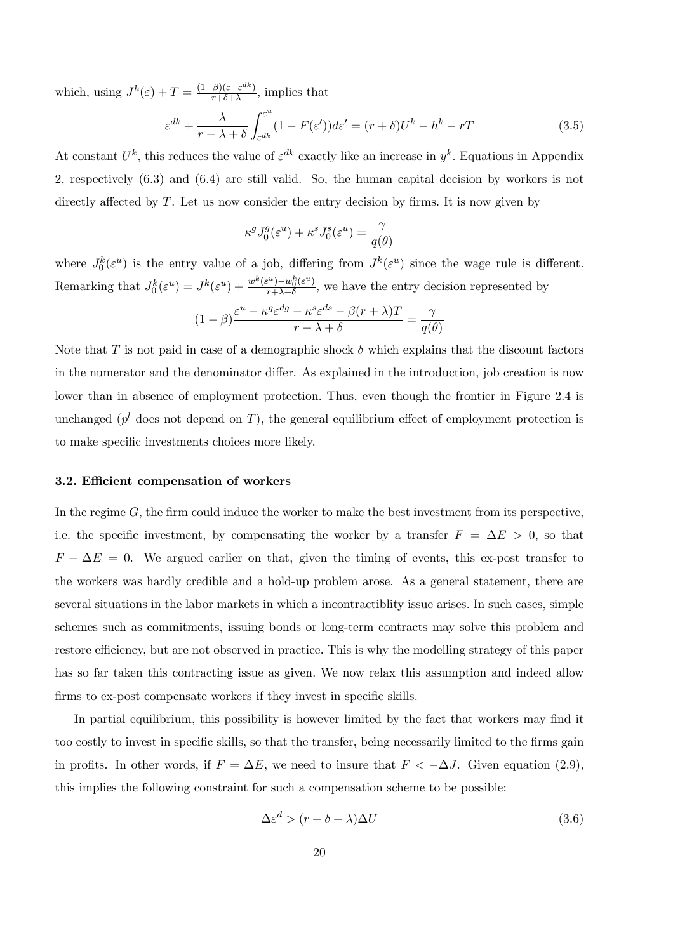which, using  $J^k(\varepsilon) + T = \frac{(1-\beta)(\varepsilon - \varepsilon^{dk})}{r+\delta+\lambda}$ , implies that

$$
\varepsilon^{dk} + \frac{\lambda}{r + \lambda + \delta} \int_{\varepsilon^{dk}}^{\varepsilon^u} (1 - F(\varepsilon')) d\varepsilon' = (r + \delta) U^k - h^k - rT \tag{3.5}
$$

At constant  $U^k$ , this reduces the value of  $\varepsilon^{dk}$  exactly like an increase in  $y^k$ . Equations in Appendix 2, respectively (6.3) and (6.4) are still valid. So, the human capital decision by workers is not directly affected by  $T$ . Let us now consider the entry decision by firms. It is now given by

$$
\kappa^g J_0^g(\varepsilon^u) + \kappa^s J_0^s(\varepsilon^u) = \frac{\gamma}{q(\theta)}
$$

where  $J_0^k(\varepsilon^u)$  is the entry value of a job, differing from  $J^k(\varepsilon^u)$  since the wage rule is different. Remarking that  $J_0^k(\varepsilon^u) = J^k(\varepsilon^u) + \frac{w^k(\varepsilon^u) - w_0^k(\varepsilon^u)}{r + \lambda + \delta}$ , we have the entry decision represented by

$$
(1 - \beta) \frac{\varepsilon^u - \kappa^g \varepsilon^{dg} - \kappa^s \varepsilon^{ds} - \beta (r + \lambda) T}{r + \lambda + \delta} = \frac{\gamma}{q(\theta)}
$$

Note that T is not paid in case of a demographic shock  $\delta$  which explains that the discount factors in the numerator and the denominator differ. As explained in the introduction, job creation is now lower than in absence of employment protection. Thus, even though the frontier in Figure 2.4 is unchanged ( $p^{l}$  does not depend on T), the general equilibrium effect of employment protection is to make specific investments choices more likely.

#### 3.2. Efficient compensation of workers

In the regime  $G$ , the firm could induce the worker to make the best investment from its perspective, i.e. the specific investment, by compensating the worker by a transfer  $F = \Delta E > 0$ , so that  $F - \Delta E = 0$ . We argued earlier on that, given the timing of events, this ex-post transfer to the workers was hardly credible and a hold-up problem arose. As a general statement, there are several situations in the labor markets in which a incontractiblity issue arises. In such cases, simple schemes such as commitments, issuing bonds or long-term contracts may solve this problem and restore efficiency, but are not observed in practice. This is why the modelling strategy of this paper has so far taken this contracting issue as given. We now relax this assumption and indeed allow firms to ex-post compensate workers if they invest in specific skills.

In partial equilibrium, this possibility is however limited by the fact that workers may find it too costly to invest in specific skills, so that the transfer, being necessarily limited to the firms gain in profits. In other words, if  $F = \Delta E$ , we need to insure that  $F < -\Delta J$ . Given equation (2.9), this implies the following constraint for such a compensation scheme to be possible:

$$
\Delta \varepsilon^d > (r + \delta + \lambda)\Delta U \tag{3.6}
$$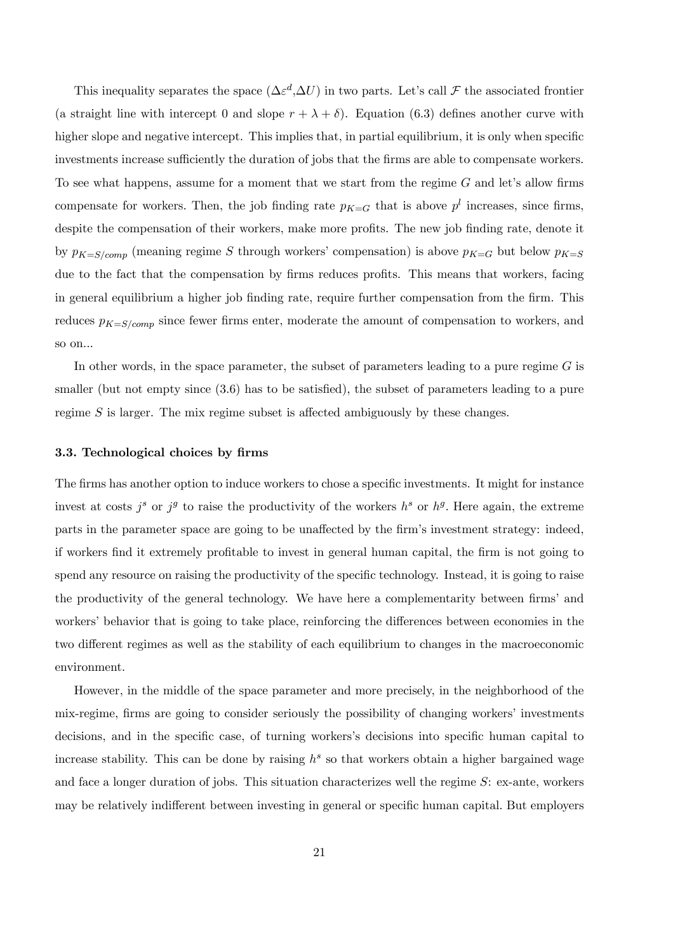This inequality separates the space  $(\Delta \varepsilon^d, \Delta U)$  in two parts. Let's call  $\mathcal F$  the associated frontier (a straight line with intercept 0 and slope  $r + \lambda + \delta$ ). Equation (6.3) defines another curve with higher slope and negative intercept. This implies that, in partial equilibrium, it is only when specific investments increase sufficiently the duration of jobs that the firms are able to compensate workers. To see what happens, assume for a moment that we start from the regime  $G$  and let's allow firms compensate for workers. Then, the job finding rate  $p_{K=G}$  that is above  $p^{l}$  increases, since firms, despite the compensation of their workers, make more profits. The new job finding rate, denote it by  $p_{K=S/comp}$  (meaning regime S through workers' compensation) is above  $p_{K=G}$  but below  $p_{K=S}$ due to the fact that the compensation by firms reduces profits. This means that workers, facing in general equilibrium a higher job finding rate, require further compensation from the firm. This reduces  $p_{K=S/comp}$  since fewer firms enter, moderate the amount of compensation to workers, and so on...

In other words, in the space parameter, the subset of parameters leading to a pure regime  $G$  is smaller (but not empty since  $(3.6)$ ) has to be satisfied), the subset of parameters leading to a pure regime S is larger. The mix regime subset is affected ambiguously by these changes.

#### 3.3. Technological choices by firms

The firms has another option to induce workers to chose a specific investments. It might for instance invest at costs  $j^s$  or  $j^g$  to raise the productivity of the workers  $h^s$  or  $h^g$ . Here again, the extreme parts in the parameter space are going to be unaffected by the firm's investment strategy: indeed, if workers find it extremely profitable to invest in general human capital, the firm is not going to spend any resource on raising the productivity of the specific technology. Instead, it is going to raise the productivity of the general technology. We have here a complementarity between firms' and workers' behavior that is going to take place, reinforcing the differences between economies in the two different regimes as well as the stability of each equilibrium to changes in the macroeconomic environment.

However, in the middle of the space parameter and more precisely, in the neighborhood of the mix-regime, firms are going to consider seriously the possibility of changing workers' investments decisions, and in the specific case, of turning workers's decisions into specific human capital to increase stability. This can be done by raising  $h^s$  so that workers obtain a higher bargained wage and face a longer duration of jobs. This situation characterizes well the regime S: ex-ante, workers may be relatively indifferent between investing in general or specific human capital. But employers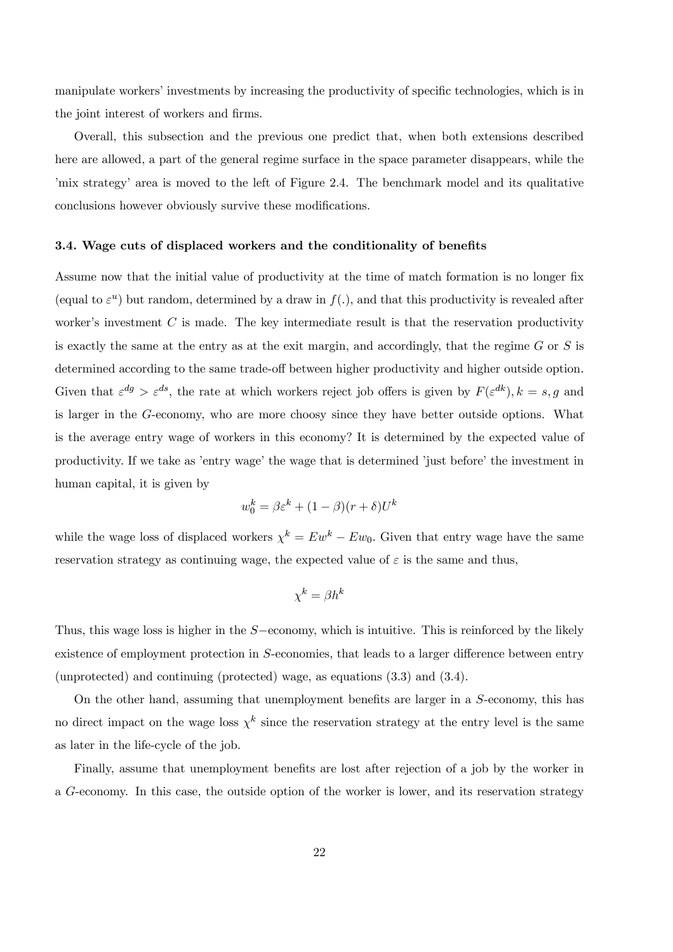manipulate workers' investments by increasing the productivity of specific technologies, which is in the joint interest of workers and firms.

Overall, this subsection and the previous one predict that, when both extensions described here are allowed, a part of the general regime surface in the space parameter disappears, while the 'mix strategy' area is moved to the left of Figure 2.4. The benchmark model and its qualitative conclusions however obviously survive these modifications.

#### 3.4. Wage cuts of displaced workers and the conditionality of benefits

Assume now that the initial value of productivity at the time of match formation is no longer fix (equal to  $\varepsilon^u$ ) but random, determined by a draw in  $f(.)$ , and that this productivity is revealed after worker's investment  $C$  is made. The key intermediate result is that the reservation productivity is exactly the same at the entry as at the exit margin, and accordingly, that the regime  $G$  or  $S$  is determined according to the same trade-off between higher productivity and higher outside option. Given that  $\varepsilon^{dg} > \varepsilon^{ds}$ , the rate at which workers reject job offers is given by  $F(\varepsilon^{dk})$ ,  $k = s, g$  and is larger in the G-economy, who are more choosy since they have better outside options. What is the average entry wage of workers in this economy? It is determined by the expected value of productivity. If we take as 'entry wage' the wage that is determined 'just before' the investment in human capital, it is given by

$$
w_0^k = \beta \varepsilon^k + (1 - \beta)(r + \delta)U^k
$$

while the wage loss of displaced workers  $\chi^k = Ew^k - Ew_0$ . Given that entry wage have the same reservation strategy as continuing wage, the expected value of  $\varepsilon$  is the same and thus,

$$
\chi^k = \beta h^k
$$

Thus, this wage loss is higher in the S−economy, which is intuitive. This is reinforced by the likely existence of employment protection in S-economies, that leads to a larger difference between entry (unprotected) and continuing (protected) wage, as equations (3.3) and (3.4).

On the other hand, assuming that unemployment benefits are larger in a S-economy, this has no direct impact on the wage loss  $\chi^k$  since the reservation strategy at the entry level is the same as later in the life-cycle of the job.

Finally, assume that unemployment benefits are lost after rejection of a job by the worker in a G-economy. In this case, the outside option of the worker is lower, and its reservation strategy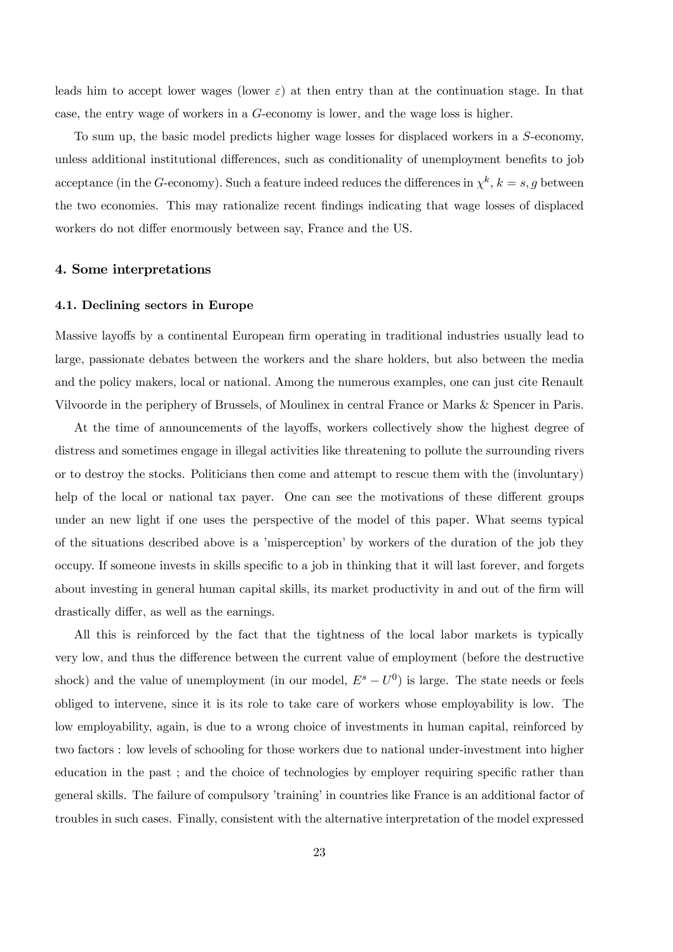leads him to accept lower wages (lower  $\varepsilon$ ) at then entry than at the continuation stage. In that case, the entry wage of workers in a G-economy is lower, and the wage loss is higher.

To sum up, the basic model predicts higher wage losses for displaced workers in a S-economy, unless additional institutional differences, such as conditionality of unemployment benefits to job acceptance (in the G-economy). Such a feature indeed reduces the differences in  $\chi^k$ ,  $k = s, g$  between the two economies. This may rationalize recent findings indicating that wage losses of displaced workers do not differ enormously between say, France and the US.

# 4. Some interpretations

#### 4.1. Declining sectors in Europe

Massive layoffs by a continental European firm operating in traditional industries usually lead to large, passionate debates between the workers and the share holders, but also between the media and the policy makers, local or national. Among the numerous examples, one can just cite Renault Vilvoorde in the periphery of Brussels, of Moulinex in central France or Marks & Spencer in Paris.

At the time of announcements of the layoffs, workers collectively show the highest degree of distress and sometimes engage in illegal activities like threatening to pollute the surrounding rivers or to destroy the stocks. Politicians then come and attempt to rescue them with the (involuntary) help of the local or national tax payer. One can see the motivations of these different groups under an new light if one uses the perspective of the model of this paper. What seems typical of the situations described above is a 'misperception' by workers of the duration of the job they occupy. If someone invests in skills specific to a job in thinking that it will last forever, and forgets about investing in general human capital skills, its market productivity in and out of the firm will drastically differ, as well as the earnings.

All this is reinforced by the fact that the tightness of the local labor markets is typically very low, and thus the difference between the current value of employment (before the destructive shock) and the value of unemployment (in our model,  $E^s - U^0$ ) is large. The state needs or feels obliged to intervene, since it is its role to take care of workers whose employability is low. The low employability, again, is due to a wrong choice of investments in human capital, reinforced by two factors : low levels of schooling for those workers due to national under-investment into higher education in the past ; and the choice of technologies by employer requiring specific rather than general skills. The failure of compulsory 'training' in countries like France is an additional factor of troubles in such cases. Finally, consistent with the alternative interpretation of the model expressed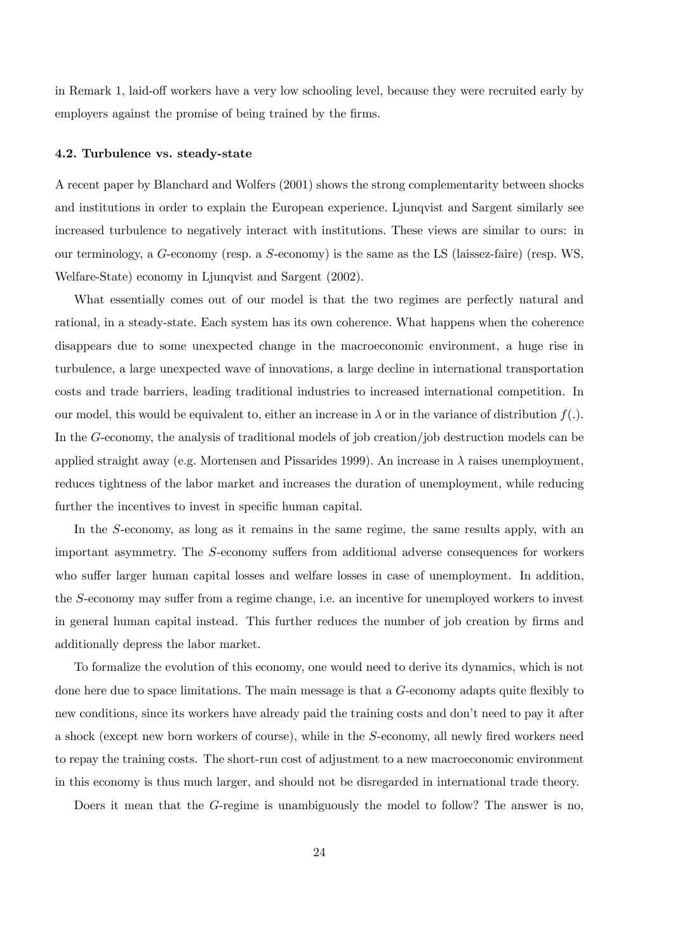in Remark 1, laid-off workers have a very low schooling level, because they were recruited early by employers against the promise of being trained by the firms.

#### 4.2. Turbulence vs. steady-state

A recent paper by Blanchard and Wolfers (2001) shows the strong complementarity between shocks and institutions in order to explain the European experience. Ljunqvist and Sargent similarly see increased turbulence to negatively interact with institutions. These views are similar to ours: in our terminology, a G-economy (resp. a S-economy) is the same as the LS (laissez-faire) (resp. WS, Welfare-State) economy in Ljunqvist and Sargent (2002).

What essentially comes out of our model is that the two regimes are perfectly natural and rational, in a steady-state. Each system has its own coherence. What happens when the coherence disappears due to some unexpected change in the macroeconomic environment, a huge rise in turbulence, a large unexpected wave of innovations, a large decline in international transportation costs and trade barriers, leading traditional industries to increased international competition. In our model, this would be equivalent to, either an increase in  $\lambda$  or in the variance of distribution  $f(.)$ . In the G-economy, the analysis of traditional models of job creation/job destruction models can be applied straight away (e.g. Mortensen and Pissarides 1999). An increase in  $\lambda$  raises unemployment, reduces tightness of the labor market and increases the duration of unemployment, while reducing further the incentives to invest in specific human capital.

In the S-economy, as long as it remains in the same regime, the same results apply, with an important asymmetry. The S-economy suffers from additional adverse consequences for workers who suffer larger human capital losses and welfare losses in case of unemployment. In addition, the S-economy may suffer from a regime change, i.e. an incentive for unemployed workers to invest in general human capital instead. This further reduces the number of job creation by firms and additionally depress the labor market.

To formalize the evolution of this economy, one would need to derive its dynamics, which is not done here due to space limitations. The main message is that a G-economy adapts quite flexibly to new conditions, since its workers have already paid the training costs and don't need to pay it after a shock (except new born workers of course), while in the S-economy, all newly fired workers need to repay the training costs. The short-run cost of adjustment to a new macroeconomic environment in this economy is thus much larger, and should not be disregarded in international trade theory.

Doers it mean that the G-regime is unambiguously the model to follow? The answer is no,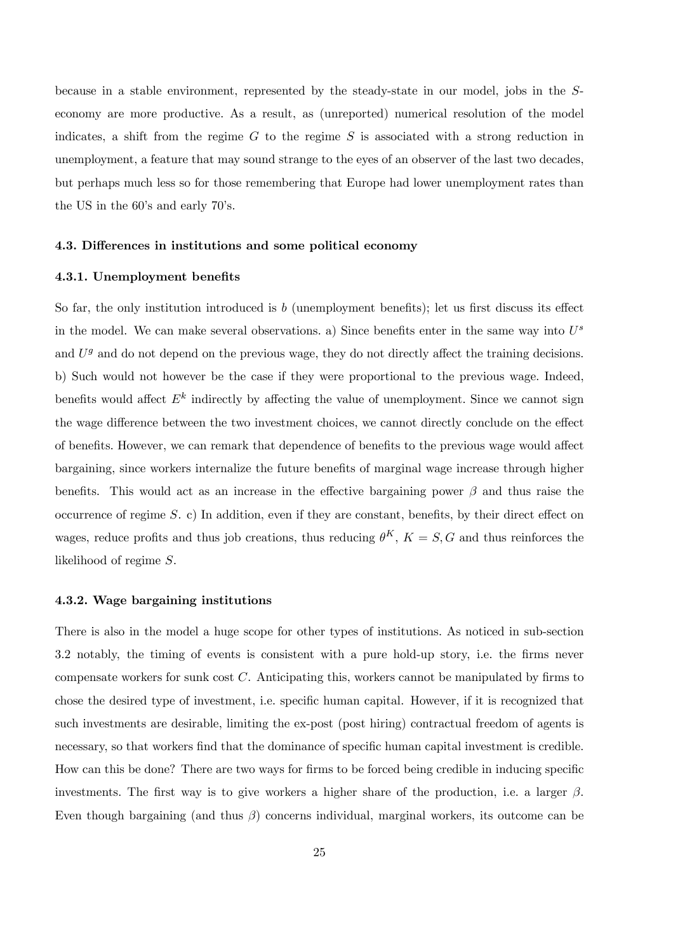because in a stable environment, represented by the steady-state in our model, jobs in the Seconomy are more productive. As a result, as (unreported) numerical resolution of the model indicates, a shift from the regime  $G$  to the regime  $S$  is associated with a strong reduction in unemployment, a feature that may sound strange to the eyes of an observer of the last two decades, but perhaps much less so for those remembering that Europe had lower unemployment rates than the US in the 60's and early 70's.

#### 4.3. Differences in institutions and some political economy

# 4.3.1. Unemployment benefits

So far, the only institution introduced is  $b$  (unemployment benefits); let us first discuss its effect in the model. We can make several observations. a) Since benefits enter in the same way into  $U^s$ and  $U<sup>g</sup>$  and do not depend on the previous wage, they do not directly affect the training decisions. b) Such would not however be the case if they were proportional to the previous wage. Indeed, benefits would affect  $E^k$  indirectly by affecting the value of unemployment. Since we cannot sign the wage difference between the two investment choices, we cannot directly conclude on the effect of benefits. However, we can remark that dependence of benefits to the previous wage would affect bargaining, since workers internalize the future benefits of marginal wage increase through higher benefits. This would act as an increase in the effective bargaining power  $\beta$  and thus raise the occurrence of regime S. c) In addition, even if they are constant, benefits, by their direct effect on wages, reduce profits and thus job creations, thus reducing  $\theta^K$ ,  $K = S$ , G and thus reinforces the likelihood of regime S.

# 4.3.2. Wage bargaining institutions

There is also in the model a huge scope for other types of institutions. As noticed in sub-section 3.2 notably, the timing of events is consistent with a pure hold-up story, i.e. the firms never compensate workers for sunk cost C. Anticipating this, workers cannot be manipulated by firms to chose the desired type of investment, i.e. specific human capital. However, if it is recognized that such investments are desirable, limiting the ex-post (post hiring) contractual freedom of agents is necessary, so that workers find that the dominance of specific human capital investment is credible. How can this be done? There are two ways for firms to be forced being credible in inducing specific investments. The first way is to give workers a higher share of the production, i.e. a larger  $\beta$ . Even though bargaining (and thus  $\beta$ ) concerns individual, marginal workers, its outcome can be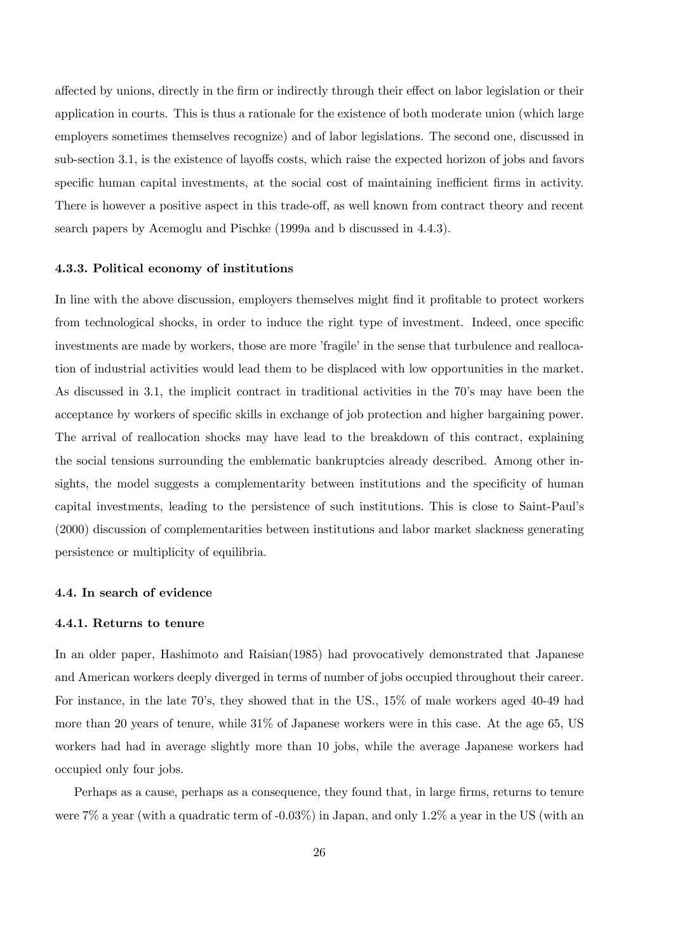affected by unions, directly in the firm or indirectly through their effect on labor legislation or their application in courts. This is thus a rationale for the existence of both moderate union (which large employers sometimes themselves recognize) and of labor legislations. The second one, discussed in sub-section 3.1, is the existence of layoffs costs, which raise the expected horizon of jobs and favors specific human capital investments, at the social cost of maintaining inefficient firms in activity. There is however a positive aspect in this trade-off, as well known from contract theory and recent search papers by Acemoglu and Pischke (1999a and b discussed in 4.4.3).

#### 4.3.3. Political economy of institutions

In line with the above discussion, employers themselves might find it profitable to protect workers from technological shocks, in order to induce the right type of investment. Indeed, once specific investments are made by workers, those are more 'fragile' in the sense that turbulence and reallocation of industrial activities would lead them to be displaced with low opportunities in the market. As discussed in 3.1, the implicit contract in traditional activities in the 70's may have been the acceptance by workers of specific skills in exchange of job protection and higher bargaining power. The arrival of reallocation shocks may have lead to the breakdown of this contract, explaining the social tensions surrounding the emblematic bankruptcies already described. Among other insights, the model suggests a complementarity between institutions and the specificity of human capital investments, leading to the persistence of such institutions. This is close to Saint-Paul's (2000) discussion of complementarities between institutions and labor market slackness generating persistence or multiplicity of equilibria.

#### 4.4. In search of evidence

## 4.4.1. Returns to tenure

In an older paper, Hashimoto and Raisian(1985) had provocatively demonstrated that Japanese and American workers deeply diverged in terms of number of jobs occupied throughout their career. For instance, in the late 70's, they showed that in the US., 15% of male workers aged 40-49 had more than 20 years of tenure, while 31% of Japanese workers were in this case. At the age 65, US workers had had in average slightly more than 10 jobs, while the average Japanese workers had occupied only four jobs.

Perhaps as a cause, perhaps as a consequence, they found that, in large firms, returns to tenure were 7% a year (with a quadratic term of -0.03%) in Japan, and only 1.2% a year in the US (with an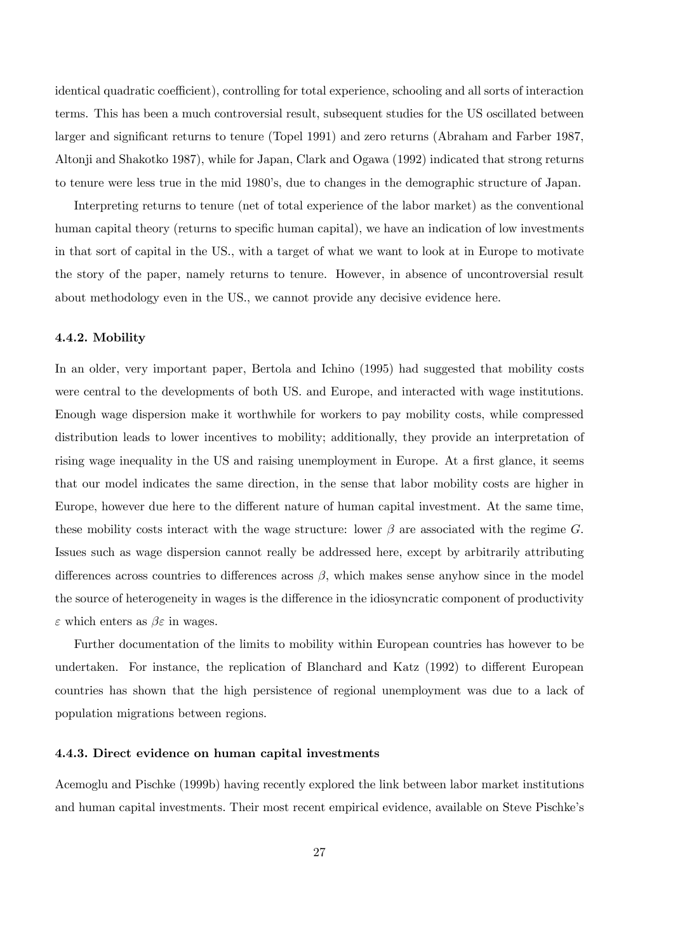identical quadratic coefficient), controlling for total experience, schooling and all sorts of interaction terms. This has been a much controversial result, subsequent studies for the US oscillated between larger and significant returns to tenure (Topel 1991) and zero returns (Abraham and Farber 1987, Altonji and Shakotko 1987), while for Japan, Clark and Ogawa (1992) indicated that strong returns to tenure were less true in the mid 1980's, due to changes in the demographic structure of Japan.

Interpreting returns to tenure (net of total experience of the labor market) as the conventional human capital theory (returns to specific human capital), we have an indication of low investments in that sort of capital in the US., with a target of what we want to look at in Europe to motivate the story of the paper, namely returns to tenure. However, in absence of uncontroversial result about methodology even in the US., we cannot provide any decisive evidence here.

#### 4.4.2. Mobility

In an older, very important paper, Bertola and Ichino (1995) had suggested that mobility costs were central to the developments of both US. and Europe, and interacted with wage institutions. Enough wage dispersion make it worthwhile for workers to pay mobility costs, while compressed distribution leads to lower incentives to mobility; additionally, they provide an interpretation of rising wage inequality in the US and raising unemployment in Europe. At a first glance, it seems that our model indicates the same direction, in the sense that labor mobility costs are higher in Europe, however due here to the different nature of human capital investment. At the same time, these mobility costs interact with the wage structure: lower  $\beta$  are associated with the regime G. Issues such as wage dispersion cannot really be addressed here, except by arbitrarily attributing differences across countries to differences across  $\beta$ , which makes sense anyhow since in the model the source of heterogeneity in wages is the difference in the idiosyncratic component of productivity  $\varepsilon$  which enters as  $\beta \varepsilon$  in wages.

Further documentation of the limits to mobility within European countries has however to be undertaken. For instance, the replication of Blanchard and Katz (1992) to different European countries has shown that the high persistence of regional unemployment was due to a lack of population migrations between regions.

#### 4.4.3. Direct evidence on human capital investments

Acemoglu and Pischke (1999b) having recently explored the link between labor market institutions and human capital investments. Their most recent empirical evidence, available on Steve Pischke's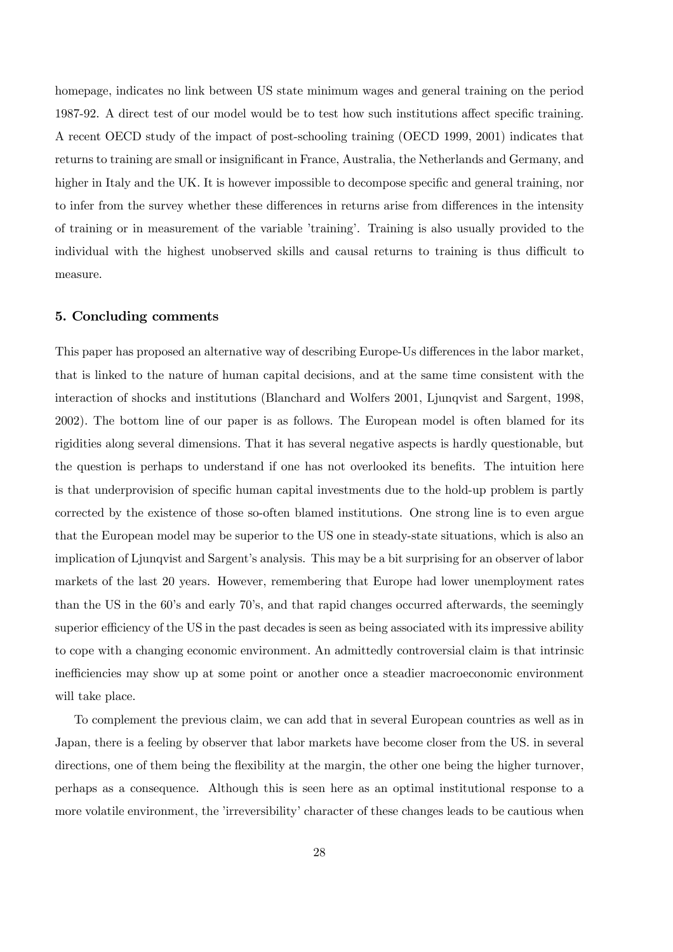homepage, indicates no link between US state minimum wages and general training on the period 1987-92. A direct test of our model would be to test how such institutions affect specific training. A recent OECD study of the impact of post-schooling training (OECD 1999, 2001) indicates that returns to training are small or insignificant in France, Australia, the Netherlands and Germany, and higher in Italy and the UK. It is however impossible to decompose specific and general training, nor to infer from the survey whether these differences in returns arise from differences in the intensity of training or in measurement of the variable 'training'. Training is also usually provided to the individual with the highest unobserved skills and causal returns to training is thus difficult to measure.

# 5. Concluding comments

This paper has proposed an alternative way of describing Europe-Us differences in the labor market, that is linked to the nature of human capital decisions, and at the same time consistent with the interaction of shocks and institutions (Blanchard and Wolfers 2001, Ljunqvist and Sargent, 1998, 2002). The bottom line of our paper is as follows. The European model is often blamed for its rigidities along several dimensions. That it has several negative aspects is hardly questionable, but the question is perhaps to understand if one has not overlooked its benefits. The intuition here is that underprovision of specific human capital investments due to the hold-up problem is partly corrected by the existence of those so-often blamed institutions. One strong line is to even argue that the European model may be superior to the US one in steady-state situations, which is also an implication of Ljunqvist and Sargent's analysis. This may be a bit surprising for an observer of labor markets of the last 20 years. However, remembering that Europe had lower unemployment rates than the US in the 60's and early 70's, and that rapid changes occurred afterwards, the seemingly superior efficiency of the US in the past decades is seen as being associated with its impressive ability to cope with a changing economic environment. An admittedly controversial claim is that intrinsic inefficiencies may show up at some point or another once a steadier macroeconomic environment will take place.

To complement the previous claim, we can add that in several European countries as well as in Japan, there is a feeling by observer that labor markets have become closer from the US. in several directions, one of them being the flexibility at the margin, the other one being the higher turnover, perhaps as a consequence. Although this is seen here as an optimal institutional response to a more volatile environment, the 'irreversibility' character of these changes leads to be cautious when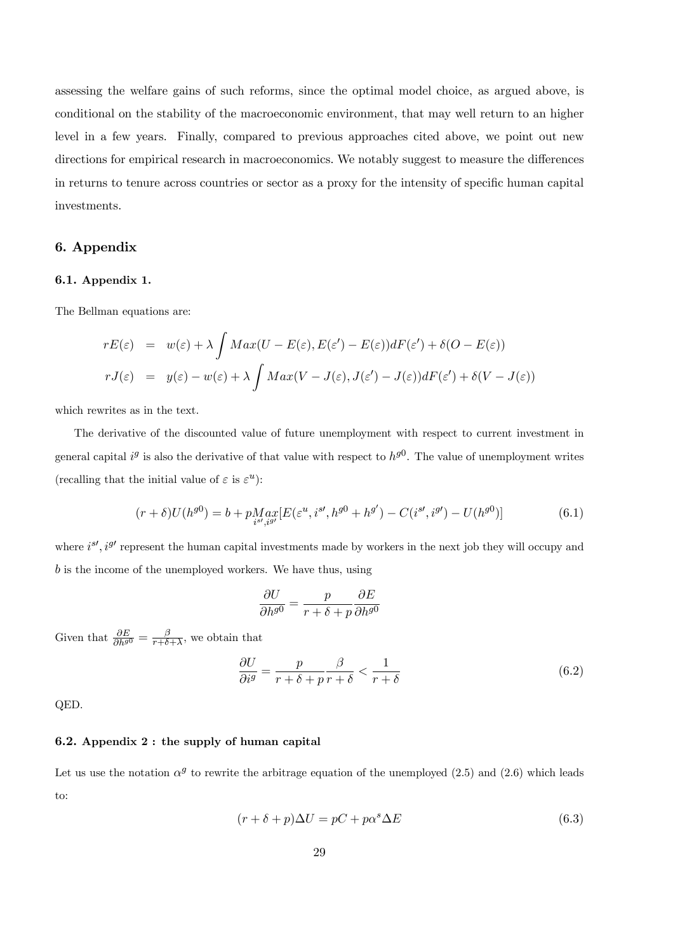assessing the welfare gains of such reforms, since the optimal model choice, as argued above, is conditional on the stability of the macroeconomic environment, that may well return to an higher level in a few years. Finally, compared to previous approaches cited above, we point out new directions for empirical research in macroeconomics. We notably suggest to measure the differences in returns to tenure across countries or sector as a proxy for the intensity of specific human capital investments.

# 6. Appendix

## 6.1. Appendix 1.

The Bellman equations are:

$$
rE(\varepsilon) = w(\varepsilon) + \lambda \int Max(U - E(\varepsilon), E(\varepsilon') - E(\varepsilon))dF(\varepsilon') + \delta(O - E(\varepsilon))
$$
  

$$
rJ(\varepsilon) = y(\varepsilon) - w(\varepsilon) + \lambda \int Max(V - J(\varepsilon), J(\varepsilon') - J(\varepsilon))dF(\varepsilon') + \delta(V - J(\varepsilon))
$$

which rewrites as in the text.

The derivative of the discounted value of future unemployment with respect to current investment in general capital  $i^g$  is also the derivative of that value with respect to  $h^{g0}$ . The value of unemployment writes (recalling that the initial value of  $\varepsilon$  is  $\varepsilon^u$ ):

$$
(r+\delta)U(h^{g0}) = b + p_{i^{g'} , i^{g'}}^{M} [E(\varepsilon^u, i^{g'}, h^{g0} + h^{g'}) - C(i^{g'}, i^{g'}) - U(h^{g0})]
$$
(6.1)

where  $i^{s\prime}$ ,  $i^{g\prime}$  represent the human capital investments made by workers in the next job they will occupy and b is the income of the unemployed workers. We have thus, using

$$
\frac{\partial U}{\partial h^{g0}} = \frac{p}{r + \delta + p} \frac{\partial E}{\partial h^{g0}}
$$

Given that  $\frac{\partial E}{\partial h^{g0}} = \frac{\beta}{r+\delta+\lambda}$ , we obtain that

$$
\frac{\partial U}{\partial i^g} = \frac{p}{r + \delta + p} \frac{\beta}{r + \delta} < \frac{1}{r + \delta} \tag{6.2}
$$

QED.

# 6.2. Appendix 2 : the supply of human capital

Let us use the notation  $\alpha^g$  to rewrite the arbitrage equation of the unemployed (2.5) and (2.6) which leads to:

$$
(r + \delta + p)\Delta U = pC + p\alpha^s \Delta E \tag{6.3}
$$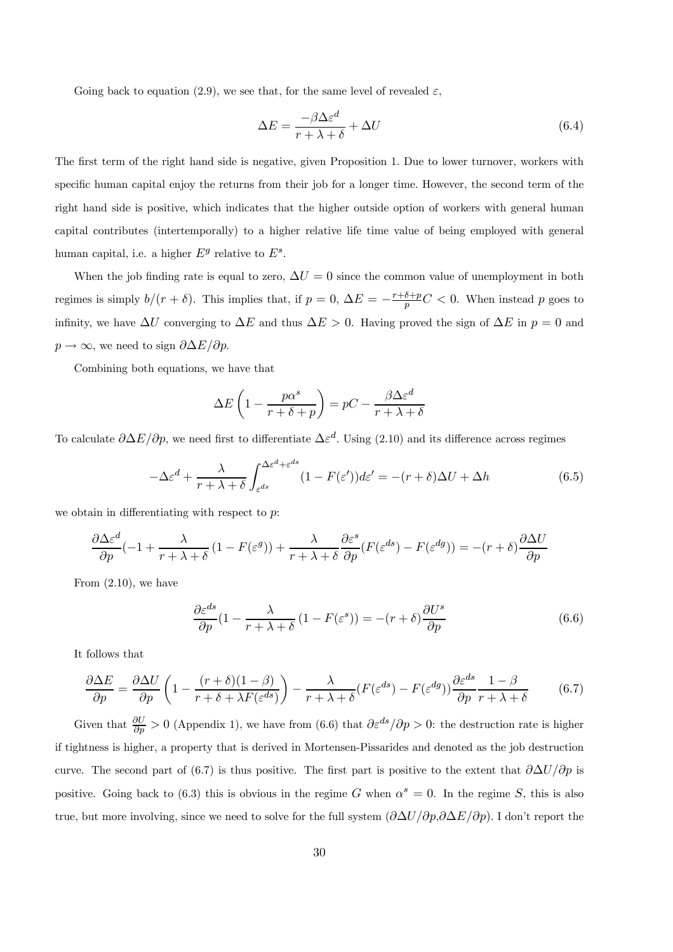Going back to equation (2.9), we see that, for the same level of revealed  $\varepsilon$ ,

$$
\Delta E = \frac{-\beta \Delta \varepsilon^d}{r + \lambda + \delta} + \Delta U \tag{6.4}
$$

The first term of the right hand side is negative, given Proposition 1. Due to lower turnover, workers with specific human capital enjoy the returns from their job for a longer time. However, the second term of the right hand side is positive, which indicates that the higher outside option of workers with general human capital contributes (intertemporally) to a higher relative life time value of being employed with general human capital, i.e. a higher  $E^g$  relative to  $E^s$ .

When the job finding rate is equal to zero,  $\Delta U = 0$  since the common value of unemployment in both regimes is simply  $b/(r+\delta)$ . This implies that, if  $p=0$ ,  $\Delta E = -\frac{r+\delta+p}{p}C < 0$ . When instead p goes to infinity, we have  $\Delta U$  converging to  $\Delta E$  and thus  $\Delta E > 0$ . Having proved the sign of  $\Delta E$  in  $p = 0$  and  $p \to \infty$ , we need to sign  $\partial \Delta E / \partial p$ .

Combining both equations, we have that

$$
\Delta E \left( 1 - \frac{p\alpha^s}{r + \delta + p} \right) = pC - \frac{\beta \Delta \varepsilon^d}{r + \lambda + \delta}
$$

To calculate  $\partial \Delta E/\partial p$ , we need first to differentiate  $\Delta \varepsilon^d$ . Using (2.10) and its difference across regimes

$$
-\Delta\varepsilon^{d} + \frac{\lambda}{r + \lambda + \delta} \int_{\varepsilon^{ds}}^{\Delta\varepsilon^{d} + \varepsilon^{ds}} (1 - F(\varepsilon')) d\varepsilon' = -(r + \delta)\Delta U + \Delta h \tag{6.5}
$$

we obtain in differentiating with respect to  $p$ .

$$
\frac{\partial \Delta \varepsilon^d}{\partial p}(-1 + \frac{\lambda}{r + \lambda + \delta} (1 - F(\varepsilon^g)) + \frac{\lambda}{r + \lambda + \delta} \frac{\partial \varepsilon^s}{\partial p} (F(\varepsilon^{ds}) - F(\varepsilon^{dg})) = -(r + \delta) \frac{\partial \Delta U}{\partial p}
$$

From  $(2.10)$ , we have

$$
\frac{\partial \varepsilon^{ds}}{\partial p}(1 - \frac{\lambda}{r + \lambda + \delta}(1 - F(\varepsilon^s)) = -(r + \delta)\frac{\partial U^s}{\partial p}
$$
(6.6)

It follows that

$$
\frac{\partial \Delta E}{\partial p} = \frac{\partial \Delta U}{\partial p} \left( 1 - \frac{(r+\delta)(1-\beta)}{r+\delta+\lambda F(\varepsilon^{ds})} \right) - \frac{\lambda}{r+\lambda+\delta} (F(\varepsilon^{ds}) - F(\varepsilon^{dg})) \frac{\partial \varepsilon^{ds}}{\partial p} \frac{1-\beta}{r+\lambda+\delta} \tag{6.7}
$$

Given that  $\frac{\partial U}{\partial p} > 0$  (Appendix 1), we have from (6.6) that  $\partial \varepsilon^{ds}/\partial p > 0$ : the destruction rate is higher if tightness is higher, a property that is derived in Mortensen-Pissarides and denoted as the job destruction curve. The second part of (6.7) is thus positive. The first part is positive to the extent that  $\partial \Delta U/\partial p$  is positive. Going back to (6.3) this is obvious in the regime G when  $\alpha^{s} = 0$ . In the regime S, this is also true, but more involving, since we need to solve for the full system  $(\partial \Delta U/\partial p, \partial \Delta E/\partial p)$ . I don't report the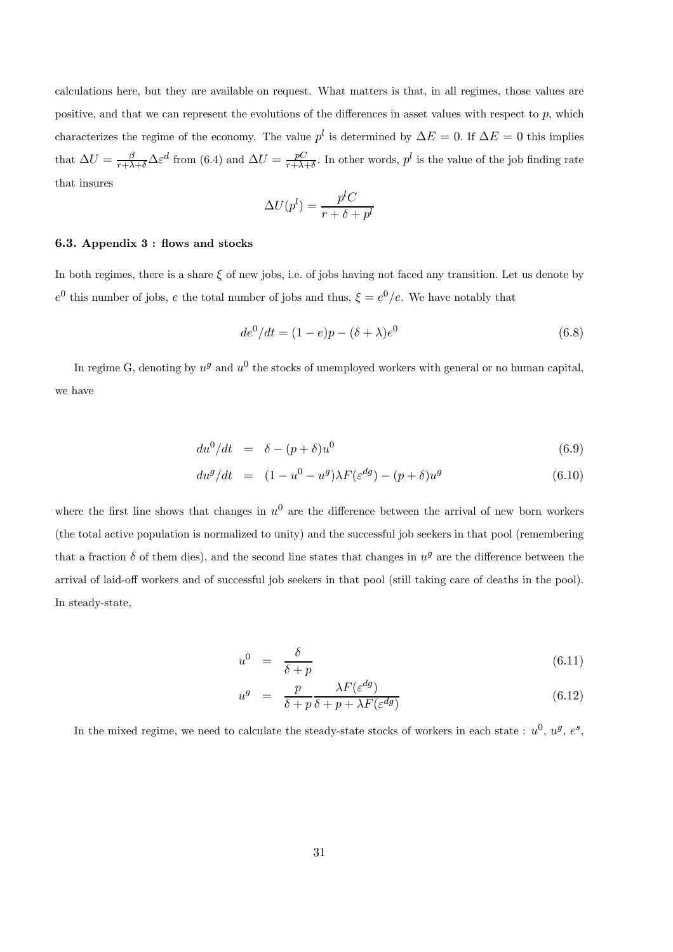calculations here, but they are available on request. What matters is that, in all regimes, those values are positive, and that we can represent the evolutions of the differences in asset values with respect to p, which characterizes the regime of the economy. The value  $p^l$  is determined by  $\Delta E = 0$ . If  $\Delta E = 0$  this implies that  $\Delta U = \frac{\beta}{r + \lambda + \delta} \Delta \varepsilon^d$  from (6.4) and  $\Delta U = \frac{pC}{r + \lambda + \delta}$ . In other words,  $p^l$  is the value of the job finding rate that insures

$$
\Delta U(p^l) = \frac{p^l C}{r + \delta + p^l}
$$

#### 6.3. Appendix 3 : flows and stocks

In both regimes, there is a share  $\xi$  of new jobs, i.e. of jobs having not faced any transition. Let us denote by  $e^0$  this number of jobs, e the total number of jobs and thus,  $\xi = e^0/e$ . We have notably that

$$
de^{0}/dt = (1 - e)p - (\delta + \lambda)e^{0}
$$
 (6.8)

In regime G, denoting by  $u^g$  and  $u^0$  the stocks of unemployed workers with general or no human capital, we have

$$
du^0/dt = \delta - (p+\delta)u^0 \tag{6.9}
$$

$$
du^{g}/dt = (1 - u^{0} - u^{g})\lambda F(\varepsilon^{dg}) - (p + \delta)u^{g}
$$
\n(6.10)

where the first line shows that changes in  $u^0$  are the difference between the arrival of new born workers (the total active population is normalized to unity) and the successful job seekers in that pool (remembering that a fraction  $\delta$  of them dies), and the second line states that changes in  $u^g$  are the difference between the arrival of laid-off workers and of successful job seekers in that pool (still taking care of deaths in the pool). In steady-state,

$$
u^0 = \frac{\delta}{\delta + p} \tag{6.11}
$$

$$
u^{g} = \frac{p}{\delta + p} \frac{\lambda F(\varepsilon^{dg})}{\delta + p + \lambda F(\varepsilon^{dg})}
$$
(6.12)

In the mixed regime, we need to calculate the steady-state stocks of workers in each state :  $u^0$ ,  $u^g$ ,  $e^s$ ,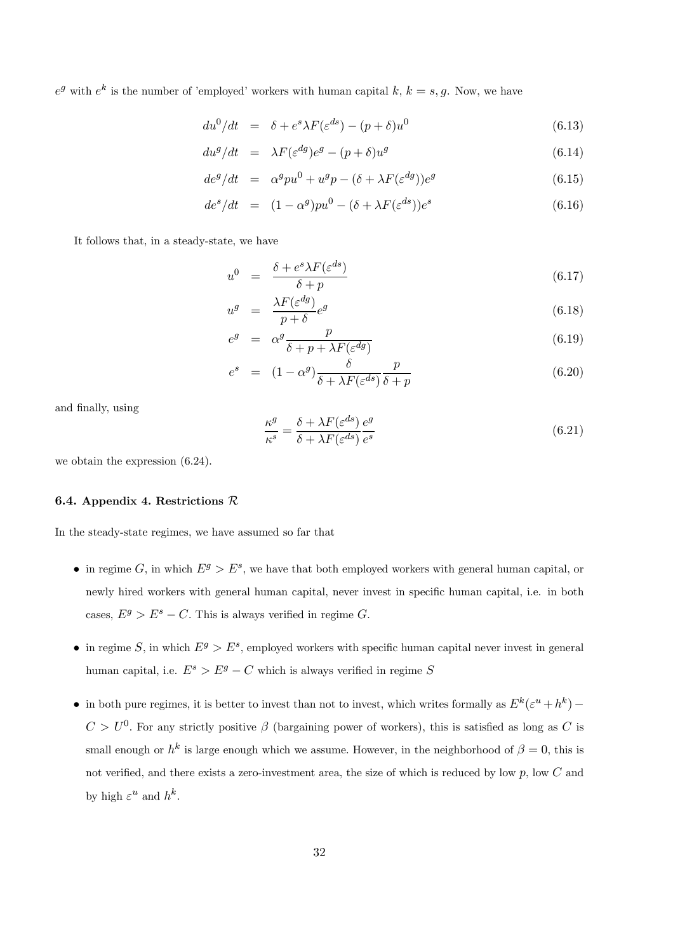$e^g$  with  $e^k$  is the number of 'employed' workers with human capital k,  $k = s, g$ . Now, we have

$$
du^{0}/dt = \delta + e^{s} \lambda F(\varepsilon^{ds}) - (p+\delta)u^{0}
$$
\n(6.13)

$$
du^g/dt = \lambda F(\varepsilon^{dg})e^g - (p+\delta)u^g \tag{6.14}
$$

$$
de^g/dt = \alpha^g p u^0 + u^g p - (\delta + \lambda F(\varepsilon^{dg}))e^g \tag{6.15}
$$

$$
de^s/dt = (1 - \alpha^g)pu^0 - (\delta + \lambda F(\varepsilon^{ds}))e^s \qquad (6.16)
$$

It follows that, in a steady-state, we have

$$
u^{0} = \frac{\delta + e^{s} \lambda F(\varepsilon^{ds})}{\delta + p} \tag{6.17}
$$

$$
u^g = \frac{\lambda F(\varepsilon^{dg})}{p+\delta} e^g \tag{6.18}
$$

$$
e^{g} = \alpha^{g} \frac{p}{\delta + p + \lambda F(\varepsilon^{dg})}
$$
(6.19)

$$
e^{s} = (1 - \alpha^{g}) \frac{\delta}{\delta + \lambda F(\varepsilon^{ds})} \frac{p}{\delta + p}
$$
(6.20)

and finally, using

$$
\frac{\kappa^g}{\kappa^s} = \frac{\delta + \lambda F(\varepsilon^{ds})}{\delta + \lambda F(\varepsilon^{ds})} \frac{e^g}{e^s}
$$
\n(6.21)

we obtain the expression (6.24).

#### 6.4. Appendix 4. Restrictions R

In the steady-state regimes, we have assumed so far that

- in regime G, in which  $E^g > E^s$ , we have that both employed workers with general human capital, or newly hired workers with general human capital, never invest in specific human capital, i.e. in both cases,  $E^g > E^s - C$ . This is always verified in regime G.
- in regime S, in which  $E^g > E^s$ , employed workers with specific human capital never invest in general human capital, i.e.  $E^s > E^g - C$  which is always verified in regime S
- in both pure regimes, it is better to invest than not to invest, which writes formally as  $E^k(\varepsilon^u + h^k)$   $C>U^0$ . For any strictly positive  $\beta$  (bargaining power of workers), this is satisfied as long as C is small enough or  $h^k$  is large enough which we assume. However, in the neighborhood of  $\beta = 0$ , this is not verified, and there exists a zero-investment area, the size of which is reduced by low p, low C and by high  $\varepsilon^u$  and  $h^k$ .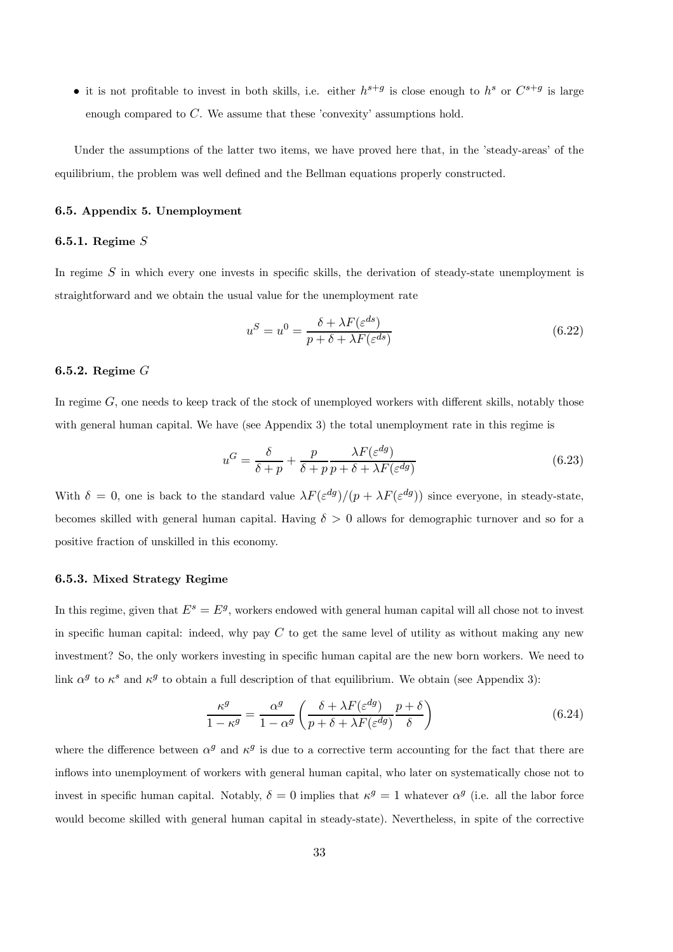• it is not profitable to invest in both skills, i.e. either  $h^{s+g}$  is close enough to  $h^s$  or  $C^{s+g}$  is large enough compared to C. We assume that these 'convexity' assumptions hold.

Under the assumptions of the latter two items, we have proved here that, in the 'steady-areas' of the equilibrium, the problem was well defined and the Bellman equations properly constructed.

#### 6.5. Appendix 5. Unemployment

# 6.5.1. Regime S

In regime  $S$  in which every one invests in specific skills, the derivation of steady-state unemployment is straightforward and we obtain the usual value for the unemployment rate

$$
u^S = u^0 = \frac{\delta + \lambda F(\varepsilon^{ds})}{p + \delta + \lambda F(\varepsilon^{ds})}
$$
\n(6.22)

## 6.5.2. Regime G

In regime  $G$ , one needs to keep track of the stock of unemployed workers with different skills, notably those with general human capital. We have (see Appendix 3) the total unemployment rate in this regime is

$$
u^G = \frac{\delta}{\delta + p} + \frac{p}{\delta + p} \frac{\lambda F(\varepsilon^{dg})}{p + \delta + \lambda F(\varepsilon^{dg})}
$$
(6.23)

With  $\delta = 0$ , one is back to the standard value  $\lambda F(\varepsilon^{dg})/(p + \lambda F(\varepsilon^{dg}))$  since everyone, in steady-state, becomes skilled with general human capital. Having  $\delta > 0$  allows for demographic turnover and so for a positive fraction of unskilled in this economy.

#### 6.5.3. Mixed Strategy Regime

In this regime, given that  $E^s = E^g$ , workers endowed with general human capital will all chose not to invest in specific human capital: indeed, why pay  $C$  to get the same level of utility as without making any new investment? So, the only workers investing in specific human capital are the new born workers. We need to link  $\alpha^g$  to  $\kappa^s$  and  $\kappa^g$  to obtain a full description of that equilibrium. We obtain (see Appendix 3):

$$
\frac{\kappa^g}{1 - \kappa^g} = \frac{\alpha^g}{1 - \alpha^g} \left( \frac{\delta + \lambda F(\varepsilon^{dg})}{p + \delta + \lambda F(\varepsilon^{dg})} \frac{p + \delta}{\delta} \right)
$$
(6.24)

where the difference between  $\alpha^g$  and  $\kappa^g$  is due to a corrective term accounting for the fact that there are inflows into unemployment of workers with general human capital, who later on systematically chose not to invest in specific human capital. Notably,  $\delta = 0$  implies that  $\kappa^g = 1$  whatever  $\alpha^g$  (i.e. all the labor force would become skilled with general human capital in steady-state). Nevertheless, in spite of the corrective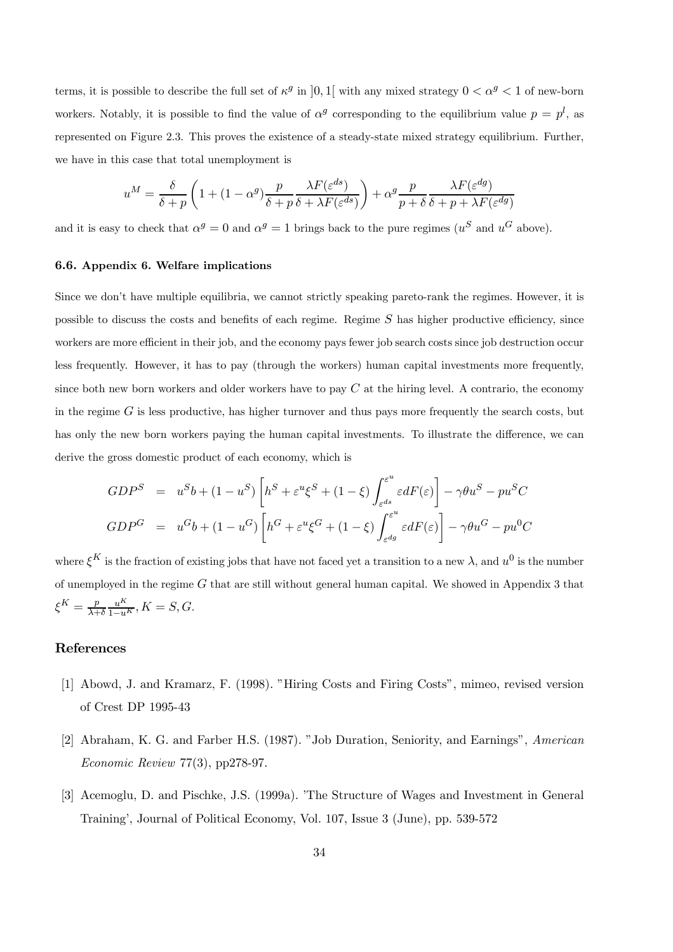terms, it is possible to describe the full set of  $\kappa^g$  in  $[0, 1]$  with any mixed strategy  $0 < \alpha^g < 1$  of new-born workers. Notably, it is possible to find the value of  $\alpha^g$  corresponding to the equilibrium value  $p = p^l$ , as represented on Figure 2.3. This proves the existence of a steady-state mixed strategy equilibrium. Further, we have in this case that total unemployment is

$$
u^M = \frac{\delta}{\delta + p} \left( 1 + (1 - \alpha^g) \frac{p}{\delta + p} \frac{\lambda F(\varepsilon^{ds})}{\delta + \lambda F(\varepsilon^{ds})} \right) + \alpha^g \frac{p}{p + \delta} \frac{\lambda F(\varepsilon^{dg})}{\delta + p + \lambda F(\varepsilon^{dg})}
$$

and it is easy to check that  $\alpha^g = 0$  and  $\alpha^g = 1$  brings back to the pure regimes  $(u^S \text{ and } u^G \text{ above}).$ 

# 6.6. Appendix 6. Welfare implications

Since we don't have multiple equilibria, we cannot strictly speaking pareto-rank the regimes. However, it is possible to discuss the costs and benefits of each regime. Regime  $S$  has higher productive efficiency, since workers are more efficient in their job, and the economy pays fewer job search costs since job destruction occur less frequently. However, it has to pay (through the workers) human capital investments more frequently, since both new born workers and older workers have to pay  $C$  at the hiring level. A contrario, the economy in the regime  $G$  is less productive, has higher turnover and thus pays more frequently the search costs, but has only the new born workers paying the human capital investments. To illustrate the difference, we can derive the gross domestic product of each economy, which is

$$
GDP^S = u^Sb + (1 - u^S) \left[ h^S + \varepsilon^u \xi^S + (1 - \xi) \int_{\varepsilon^{ds}}^{\varepsilon^u} \varepsilon dF(\varepsilon) \right] - \gamma \theta u^S - pu^SC
$$
  
\n
$$
GDP^G = u^Gb + (1 - u^G) \left[ h^G + \varepsilon^u \xi^G + (1 - \xi) \int_{\varepsilon^{dg}}^{\varepsilon^u} \varepsilon dF(\varepsilon) \right] - \gamma \theta u^G - pu^OC
$$

where  $\xi^K$  is the fraction of existing jobs that have not faced yet a transition to a new  $\lambda$ , and  $u^0$  is the number of unemployed in the regime  $G$  that are still without general human capital. We showed in Appendix 3 that  $\xi^K = \frac{p}{\lambda + \delta} \frac{u^K}{1 - u^K}, K = S, G.$ 

# References

- [1] Abowd, J. and Kramarz, F. (1998). "Hiring Costs and Firing Costs", mimeo, revised version of Crest DP 1995-43
- [2] Abraham, K. G. and Farber H.S. (1987). "Job Duration, Seniority, and Earnings", American Economic Review 77(3), pp278-97.
- [3] Acemoglu, D. and Pischke, J.S. (1999a). 'The Structure of Wages and Investment in General Training', Journal of Political Economy, Vol. 107, Issue 3 (June), pp. 539-572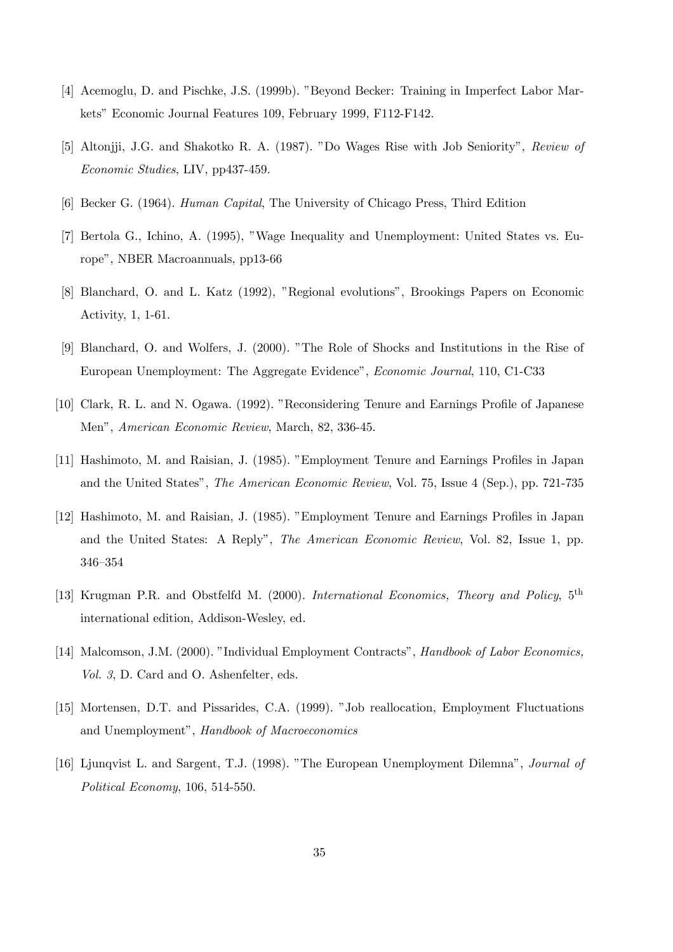- [4] Acemoglu, D. and Pischke, J.S. (1999b). "Beyond Becker: Training in Imperfect Labor Markets" Economic Journal Features 109, February 1999, F112-F142.
- [5] Altonjji, J.G. and Shakotko R. A. (1987). "Do Wages Rise with Job Seniority", Review of Economic Studies, LIV, pp437-459.
- [6] Becker G. (1964). Human Capital, The University of Chicago Press, Third Edition
- [7] Bertola G., Ichino, A. (1995), "Wage Inequality and Unemployment: United States vs. Europe", NBER Macroannuals, pp13-66
- [8] Blanchard, O. and L. Katz (1992), "Regional evolutions", Brookings Papers on Economic Activity, 1, 1-61.
- [9] Blanchard, O. and Wolfers, J. (2000). "The Role of Shocks and Institutions in the Rise of European Unemployment: The Aggregate Evidence", Economic Journal, 110, C1-C33
- [10] Clark, R. L. and N. Ogawa. (1992). "Reconsidering Tenure and Earnings Profile of Japanese Men", American Economic Review, March, 82, 336-45.
- [11] Hashimoto, M. and Raisian, J. (1985). "Employment Tenure and Earnings Profiles in Japan and the United States", The American Economic Review, Vol. 75, Issue 4 (Sep.), pp. 721-735
- [12] Hashimoto, M. and Raisian, J. (1985). "Employment Tenure and Earnings Profiles in Japan and the United States: A Reply", The American Economic Review, Vol. 82, Issue 1, pp. 346—354
- [13] Krugman P.R. and Obstfelfd M. (2000). International Economics, Theory and Policy, 5<sup>th</sup> international edition, Addison-Wesley, ed.
- [14] Malcomson, J.M. (2000). "Individual Employment Contracts", Handbook of Labor Economics, Vol. 3, D. Card and O. Ashenfelter, eds.
- [15] Mortensen, D.T. and Pissarides, C.A. (1999). "Job reallocation, Employment Fluctuations and Unemployment", Handbook of Macroeconomics
- [16] Ljunqvist L. and Sargent, T.J. (1998). "The European Unemployment Dilemna", Journal of Political Economy, 106, 514-550.